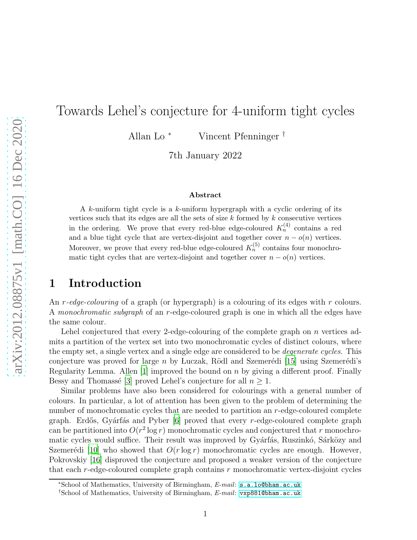# Towards Lehel's conjecture for 4-uniform tight cycles

Allan Lo <sup>∗</sup> Vincent Pfenninger †

7th January 2022

### Abstract

A k-uniform tight cycle is a k-uniform hypergraph with a cyclic ordering of its vertices such that its edges are all the sets of size  $k$  formed by  $k$  consecutive vertices in the ordering. We prove that every red-blue edge-coloured  $K_n^{(4)}$  contains a red and a blue tight cycle that are vertex-disjoint and together cover  $n - o(n)$  vertices. Moreover, we prove that every red-blue edge-coloured  $K_n^{(5)}$  contains four monochromatic tight cycles that are vertex-disjoint and together cover  $n - o(n)$  vertices.

### 1 Introduction

An r*-edge-colouring* of a graph (or hypergraph) is a colouring of its edges with r colours. A *monochromatic subgraph* of an r-edge-coloured graph is one in which all the edges have the same colour.

Lehel conjectured that every 2-edge-colouring of the complete graph on n vertices admits a partition of the vertex set into two monochromatic cycles of distinct colours, where the empty set, a single vertex and a single edge are considered to be *degenerate cycles*. This conjecture was proved for large n by Luczak, Rödl and Szemerédi [\[15\]](#page-35-0) using Szemerédi's Regularity Lemma. Allen [\[1\]](#page-34-0) improved the bound on  $n$  by giving a different proof. Finally Bessy and Thomassé [\[3](#page-34-1)] proved Lehel's conjecture for all  $n \geq 1$ .

Similar problems have also been considered for colourings with a general number of colours. In particular, a lot of attention has been given to the problem of determining the number of monochromatic cycles that are needed to partition an r-edge-coloured complete graph. Erdős, Gyárfás and Pyber  $[6]$  proved that every r-edge-coloured complete graph can be partitioned into  $O(r^2 \log r)$  monochromatic cycles and conjectured that r monochromatic cycles would suffice. Their result was improved by Gyárfás, Ruszinkó, Sárközy and Szemerédi [\[10](#page-35-1)] who showed that  $O(r \log r)$  monochromatic cycles are enough. However, Pokrovskiy [\[16](#page-35-2)] disproved the conjecture and proposed a weaker version of the conjecture that each  $r$ -edge-coloured complete graph contains  $r$  monochromatic vertex-disjoint cycles

<sup>∗</sup>School of Mathematics, University of Birmingham, E-mail: [s.a.lo@bham.ac.uk](mailto:s.a.lo@bham.ac.uk)

<sup>†</sup>School of Mathematics, University of Birmingham, E-mail: [vxp881@bham.ac.uk](mailto:vxp881@bham.ac.uk)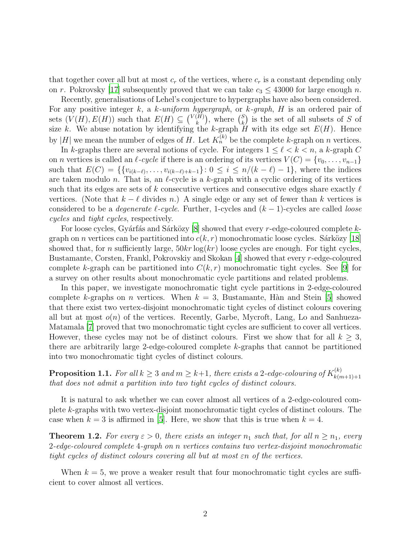that together cover all but at most  $c_r$  of the vertices, where  $c_r$  is a constant depending only on r. Pokrovsky [\[17\]](#page-35-3) subsequently proved that we can take  $c_3 \leq 43000$  for large enough n.

Recently, generalisations of Lehel's conjecture to hypergraphs have also been considered. For any positive integer k, a k-uniform hypergraph, or k-graph, H is an ordered pair of sets  $(V(H), E(H))$  such that  $E(H) \subseteq {V(H) \choose k}$  $\binom{[H]}{k}$ , where  $\binom{S}{k}$  $\binom{S}{k}$  is the set of all subsets of S of size k. We abuse notation by identifying the k-graph H with its edge set  $E(H)$ . Hence by |H| we mean the number of edges of H. Let  $K_n^{(k)}$  be the complete k-graph on n vertices.

In k-graphs there are several notions of cycle. For integers  $1 \leq \ell \leq k \leq n$ , a k-graph C on *n* vertices is called an  $\ell$ -cycle if there is an ordering of its vertices  $V(C) = \{v_0, \ldots, v_{n-1}\}\$ such that  $E(C) = \{ \{v_{i(k-\ell)}, \ldots, v_{i(k-\ell)+k-1}\} : 0 \le i \le n/(k-\ell)-1 \}$ , where the indices are taken modulo n. That is, an  $\ell$ -cycle is a k-graph with a cyclic ordering of its vertices such that its edges are sets of k consecutive vertices and consecutive edges share exactly  $\ell$ vertices. (Note that  $k - \ell$  divides n.) A single edge or any set of fewer than k vertices is considered to be a *degenerate* ℓ*-cycle*. Further, 1-cycles and (k − 1)-cycles are called *loose cycles* and *tight cycles*, respectively.

For loose cycles, Gyárfás and Sárközy [\[8](#page-34-3)] showed that every r-edge-coloured complete kgraph on n vertices can be partitioned into  $c(k, r)$  monochromatic loose cycles. Sárközy [\[18\]](#page-35-4) showed that, for n sufficiently large,  $50kr \log(kr)$  loose cycles are enough. For tight cycles, Bustamante, Corsten, Frankl, Pokrovskiy and Skokan [\[4\]](#page-34-4) showed that every r-edge-coloured complete k-graph can be partitioned into  $C(k, r)$  monochromatic tight cycles. See [\[9\]](#page-35-5) for a survey on other results about monochromatic cycle partitions and related problems.

In this paper, we investigate monochromatic tight cycle partitions in 2-edge-coloured complete k-graphs on n vertices. When  $k = 3$ , Bustamante, Hàn and Stein [\[5](#page-34-5)] showed that there exist two vertex-disjoint monochromatic tight cycles of distinct colours covering all but at most  $o(n)$  of the vertices. Recently, Garbe, Mycroft, Lang, Lo and Sanhueza-Matamala [\[7\]](#page-34-6) proved that two monochromatic tight cycles are sufficient to cover all vertices. However, these cycles may not be of distinct colours. First we show that for all  $k \geq 3$ , there are arbitrarily large 2-edge-coloured complete k-graphs that cannot be partitioned into two monochromatic tight cycles of distinct colours.

<span id="page-1-2"></span> $\bf{Proposition 1.1.}$  *For all*  $k \geq 3$  *and*  $m \geq k+1$ *, there exists a* 2-edge-colouring of  $K_{k(n)}^{(k)}$  $k(m+1)+1$ *that does not admit a partition into two tight cycles of distinct colours.*

It is natural to ask whether we can cover almost all vertices of a 2-edge-coloured complete k-graphs with two vertex-disjoint monochromatic tight cycles of distinct colours. The case when  $k = 3$  is affirmed in [\[5](#page-34-5)]. Here, we show that this is true when  $k = 4$ .

<span id="page-1-0"></span>**Theorem 1.2.** For every  $\varepsilon > 0$ , there exists an integer  $n_1$  such that, for all  $n \geq n_1$ , every 2*-edge-coloured complete* 4*-graph on* n *vertices contains two vertex-disjoint monochromatic tight cycles of distinct colours covering all but at most* εn *of the vertices.*

<span id="page-1-1"></span>When  $k = 5$ , we prove a weaker result that four monochromatic tight cycles are sufficient to cover almost all vertices.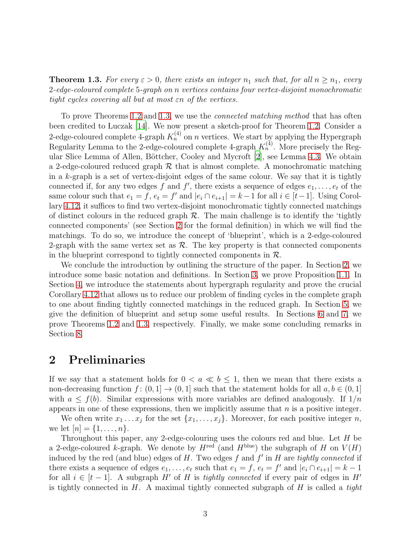**Theorem 1.3.** For every  $\varepsilon > 0$ , there exists an integer  $n_1$  such that, for all  $n \geq n_1$ , every 2*-edge-coloured complete* 5*-graph on* n *vertices contains four vertex-disjoint monochromatic tight cycles covering all but at most* εn *of the vertices.*

To prove Theorems [1.2](#page-1-0) and [1.3,](#page-1-1) we use the *connected matching method* that has often been credited to Luczak [\[14\]](#page-35-6). We now present a sketch-proof for Theorem [1.2.](#page-1-0) Consider a 2-edge-coloured complete 4-graph  $K_n^{(4)}$  on n vertices. We start by applying the Hypergraph Regularity Lemma to the 2-edge-coloured complete 4-graph  $K_n^{(4)}$ . More precisely the Reg-ular Slice Lemma of Allen, Böttcher, Cooley and Mycroft [\[2\]](#page-34-7), see Lemma [4.3.](#page-10-0) We obtain a 2-edge-coloured reduced graph  $\mathcal R$  that is almost complete. A monochromatic matching in a  $k$ -graph is a set of vertex-disjoint edges of the same colour. We say that it is tightly connected if, for any two edges f and f', there exists a sequence of edges  $e_1, \ldots, e_t$  of the same colour such that  $e_1 = f$ ,  $e_t = f'$  and  $|e_i \cap e_{i+1}| = k - 1$  for all  $i \in [t-1]$ . Using Corollary [4.12,](#page-14-0) it suffices to find two vertex-disjoint monochromatic tightly connected matchings of distinct colours in the reduced graph  $\mathcal R$ . The main challenge is to identify the 'tightly connected components' (see Section [2](#page-2-0) for the formal definition) in which we will find the matchings. To do so, we introduce the concept of 'blueprint', which is a 2-edge-coloured 2-graph with the same vertex set as  $\mathcal{R}$ . The key property is that connected components in the blueprint correspond to tightly connected components in  $\mathcal{R}$ .

We conclude the introduction by outlining the structure of the paper. In Section [2,](#page-2-0) we introduce some basic notation and definitions. In Section [3,](#page-6-0) we prove Proposition [1.1.](#page-1-2) In Section [4,](#page-8-0) we introduce the statements about hypergraph regularity and prove the crucial Corollary [4.12](#page-14-0) that allows us to reduce our problem of finding cycles in the complete graph to one about finding tightly connected matchings in the reduced graph. In Section [5,](#page-16-0) we give the definition of blueprint and setup some useful results. In Sections [6](#page-23-0) and [7,](#page-28-0) we prove Theorems [1.2](#page-1-0) and [1.3,](#page-1-1) respectively. Finally, we make some concluding remarks in Section [8.](#page-33-0)

### <span id="page-2-0"></span>2 Preliminaries

If we say that a statement holds for  $0 < a \ll b \leq 1$ , then we mean that there exists a non-decreasing function  $f: (0,1] \to (0,1]$  such that the statement holds for all  $a, b \in (0,1]$ with  $a \leq f(b)$ . Similar expressions with more variables are defined analogously. If  $1/n$ appears in one of these expressions, then we implicitly assume that  $n$  is a positive integer.

We often write  $x_1 \ldots x_j$  for the set  $\{x_1, \ldots, x_j\}$ . Moreover, for each positive integer n, we let  $[n] = \{1, ..., n\}.$ 

Throughout this paper, any 2-edge-colouring uses the colours red and blue. Let H be a 2-edge-coloured k-graph. We denote by  $H^{\text{red}}$  (and  $H^{\text{blue}}$ ) the subgraph of H on  $V(H)$ induced by the red (and blue) edges of H. Two edges f and f ′ in H are *tightly connected* if there exists a sequence of edges  $e_1, \ldots, e_t$  such that  $e_1 = f$ ,  $e_t = f'$  and  $|e_i \cap e_{i+1}| = k - 1$ for all  $i \in [t-1]$ . A subgraph H' of H is *tightly connected* if every pair of edges in H' is tightly connected in H. A maximal tightly connected subgraph of H is called a *tight*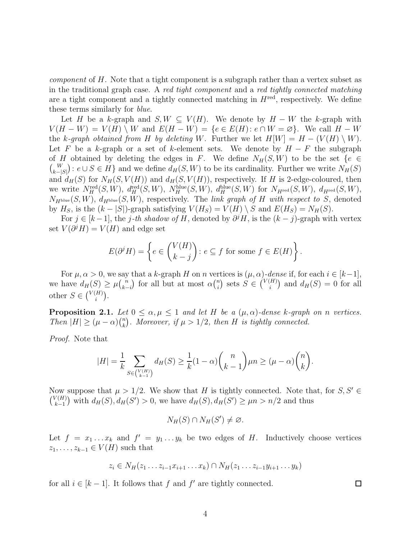*component* of H. Note that a tight component is a subgraph rather than a vertex subset as in the traditional graph case. A *red tight component* and a *red tightly connected matching* are a tight component and a tightly connected matching in  $H^{\text{red}}$ , respectively. We define these terms similarly for *blue*.

Let H be a k-graph and  $S, W \subseteq V(H)$ . We denote by  $H - W$  the k-graph with  $V(H - W) = V(H) \setminus W$  and  $E(H - W) = \{e \in E(H): e \cap W = \emptyset\}$ . We call  $H - W$ the k-graph obtained from H by deleting W. Further we let  $H[W] = H - (V(H) \setminus W)$ . Let F be a k-graph or a set of k-element sets. We denote by  $H - F$  the subgraph of H obtained by deleting the edges in F. We define  $N_H(S, W)$  to be the set  $\{e \in$  $\binom{W}{y}$  $k-\lfloor S\rfloor$ ):  $e \cup S \in H$ } and we define  $d_H(S, W)$  to be its cardinality. Further we write  $N_H(S)$ and  $d_H(S)$  for  $N_H(S, V(H))$  and  $d_H(S, V(H))$ , respectively. If H is 2-edge-coloured, then we write  $N^{\text{red}}_H(S, W)$ ,  $d^{\text{red}}_H(S, W)$ ,  $N^{\text{blue}}_H(S, W)$ ,  $d^{\text{blue}}_H(S, W)$  for  $N_{H^{\text{red}}}(S, W)$ ,  $d_{H^{\text{red}}}(S, W)$ ,  $N_{H^{blue}}(S, W)$ ,  $d_{H^{blue}}(S, W)$ , respectively. The *link graph of* H with respect to S, denoted by  $H_S$ , is the  $(k - |S|)$ -graph satisfying  $V(H_S) = V(H) \setminus S$  and  $E(H_S) = N_H(S)$ .

For  $j \in [k-1]$ , the j-th shadow of H, denoted by  $\partial^j H$ , is the  $(k - j)$ -graph with vertex set  $V(\partial^j H) = V(H)$  and edge set

$$
E(\partial^j H) = \left\{ e \in \binom{V(H)}{k-j} : e \subseteq f \text{ for some } f \in E(H) \right\}.
$$

For  $\mu, \alpha > 0$ , we say that a k-graph H on n vertices is  $(\mu, \alpha)$ -dense if, for each  $i \in [k-1]$ , we have  $d_H(S) \geq \mu {n \choose k}$ k−i ) for all but at most  $\alpha \binom{n}{i}$  $\binom{n}{i}$  sets  $S \in \binom{V(H)}{i}$  $\binom{H}{i}$  and  $d_H(S) = 0$  for all other  $S \in \binom{V(H)}{i}$  $\binom{H}{i}$ .

<span id="page-3-0"></span>**Proposition 2.1.** *Let*  $0 \le \alpha, \mu \le 1$  *and let* H *be a*  $(\mu, \alpha)$ *-dense k-graph on n vertices. Then*  $|H| \geq (\mu - \alpha) {n \choose k}$  $\binom{n}{k}$ . Moreover, if  $\mu > 1/2$ , then H is tightly connected.

*Proof.* Note that

$$
|H|=\frac{1}{k}\sum_{S\in \binom{V(H)}{k-1}}d_H(S)\geq \frac{1}{k}(1-\alpha)\binom{n}{k-1}\mu n\geq (\mu-\alpha)\binom{n}{k}.
$$

Now suppose that  $\mu > 1/2$ . We show that H is tightly connected. Note that, for  $S, S' \in$  $\binom{V(H)}{V(H)}$  $k-1$ ) with  $d_H(S)$ ,  $d_H(S') > 0$ , we have  $d_H(S)$ ,  $d_H(S') \ge \mu n > n/2$  and thus

$$
N_H(S) \cap N_H(S') \neq \varnothing.
$$

Let  $f = x_1 \dots x_k$  and  $f' = y_1 \dots y_k$  be two edges of H. Inductively choose vertices  $z_1, \ldots, z_{k-1} \in V(H)$  such that

$$
z_i \in N_H(z_1 \ldots z_{i-1} x_{i+1} \ldots x_k) \cap N_H(z_1 \ldots z_{i-1} y_{i+1} \ldots y_k)
$$

for all  $i \in [k-1]$ . It follows that f and f' are tightly connected.

 $\Box$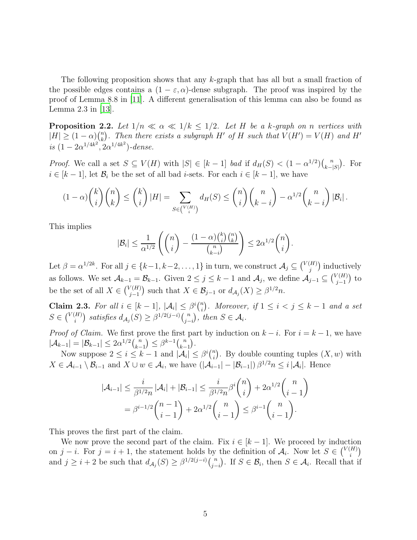The following proposition shows that any k-graph that has all but a small fraction of the possible edges contains a  $(1 - \varepsilon, \alpha)$ -dense subgraph. The proof was inspired by the proof of Lemma 8.8 in [\[11](#page-35-7)]. A different generalisation of this lemma can also be found as Lemma 2.3 in [\[13](#page-35-8)].

<span id="page-4-1"></span>**Proposition 2.2.** Let  $1/n \ll \alpha \ll 1/k \leq 1/2$ . Let H be a k-graph on n vertices with  $|H| \geq (1-\alpha)\binom{n}{k}$  $\binom{n}{k}$ . Then there exists a subgraph H' of H such that  $V(H') = V(H)$  and H' *is*  $(1 - 2\alpha^{1/4k^2}, 2\alpha^{1/4k^2})$ -dense.

*Proof.* We call a set  $S \subseteq V(H)$  with  $|S| \in [k-1]$  *bad* if  $d_H(S) < (1 - \alpha^{1/2}) {n \choose k-1}$  $k-|S|$  . For  $i \in [k-1]$ , let  $\mathcal{B}_i$  be the set of all bad *i*-sets. For each  $i \in [k-1]$ , we have

$$
(1-\alpha)\binom{k}{i}\binom{n}{k} \leq \binom{k}{i} |H| = \sum_{S \in \binom{V(H)}{i}} d_H(S) \leq \binom{n}{i}\binom{n}{k-i} - \alpha^{1/2}\binom{n}{k-i} |\mathcal{B}_i|.
$$

This implies

$$
|\mathcal{B}_i| \leq \frac{1}{\alpha^{1/2}} \left( \binom{n}{i} - \frac{(1-\alpha)\binom{k}{i}\binom{n}{k}}{\binom{n}{k-i}} \right) \leq 2\alpha^{1/2} \binom{n}{i}.
$$

Let  $\beta = \alpha^{1/2k}$ . For all  $j \in \{k-1, k-2, \ldots, 1\}$  in turn, we construct  $\mathcal{A}_j \subseteq \binom{V(H)}{j}$  $\binom{H}{j}$  inductively as follows. We set  $\mathcal{A}_{k-1} = \mathcal{B}_{k-1}$ . Given  $2 \le j \le k-1$  and  $\mathcal{A}_j$ , we define  $\mathcal{A}_{j-1} \subseteq {V(H) \choose j-1}$  $j-1$  $\int$  to be the set of all  $X \in \binom{V(H)}{j-1}$  $j-1$ ) such that  $X \in \mathcal{B}_{j-1}$  or  $d_{\mathcal{A}_j}(X) \geq \beta^{1/2} n$ .

<span id="page-4-0"></span>Claim 2.3. For all  $i \in [k-1]$ ,  $|\mathcal{A}_i| \leq \beta^i {n \choose i}$ *a*). Moreover, if  $1 \leq i < j \leq k-1$  and a set  $S \in \binom{V(H)}{i}$ <sup>(H)</sup>) satisfies  $d_{\mathcal{A}_j}(S) \geq \beta^{1/2(j-i)} {n \choose j-i}$ j−i  $\big)$ *, then*  $S \in \mathcal{A}_i$ *.* 

*Proof of Claim.* We first prove the first part by induction on  $k - i$ . For  $i = k - 1$ , we have  $|\mathcal{A}_{k-1}| = |\mathcal{B}_{k-1}| \leq 2\alpha^{1/2} {n \choose k-1}$  $k-1$  $\left(\right) \leq \beta^{k-1} \binom{n}{k}$  $\frac{k-1}{2}$ .

Now suppose  $2 \leq i \leq k-1$  and  $|\mathcal{A}_i| \leq \beta^i {n \choose i}$  $\binom{n}{i}$ . By double counting tuples  $(X, w)$  with  $X \in \mathcal{A}_{i-1} \setminus \mathcal{B}_{i-1}$  and  $X \cup w \in \mathcal{A}_i$ , we have  $(|\mathcal{A}_{i-1}| - |\mathcal{B}_{i-1}|) \beta^{1/2} n \leq i |\mathcal{A}_i|$ . Hence

$$
|\mathcal{A}_{i-1}| \leq \frac{i}{\beta^{1/2}n} |\mathcal{A}_i| + |\mathcal{B}_{i-1}| \leq \frac{i}{\beta^{1/2}n} \beta^i \binom{n}{i} + 2\alpha^{1/2} \binom{n}{i-1}
$$
  
=  $\beta^{i-1/2} \binom{n-1}{i-1} + 2\alpha^{1/2} \binom{n}{i-1} \leq \beta^{i-1} \binom{n}{i-1}.$ 

This proves the first part of the claim.

We now prove the second part of the claim. Fix  $i \in [k-1]$ . We proceed by induction on j – i. For  $j = i + 1$ , the statement holds by the definition of  $A_i$ . Now let  $S \in \binom{V(H)}{i}$  $\binom{H}{i}$ and  $j \geq i+2$  be such that  $d_{\mathcal{A}_j}(S) \geq \beta^{1/2(j-i)} {n \choose j-i}$ j−i ). If  $S \in \mathcal{B}_i$ , then  $S \in \mathcal{A}_i$ . Recall that if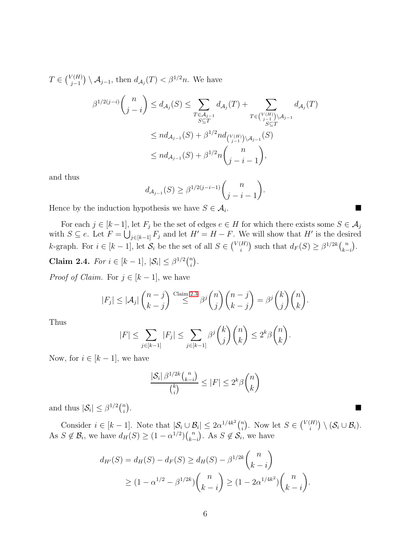$T \in \binom{V(H)}{j-1}$  $j-1$  $\big) \setminus \mathcal{A}_{j-1}$ , then  $d_{\mathcal{A}_{j}}(T) < \beta^{1/2}n$ . We have

$$
\beta^{1/2(j-i)}\binom{n}{j-i} \le d_{\mathcal{A}_j}(S) \le \sum_{\substack{T \in \mathcal{A}_{j-1} \\ S \subseteq T}} d_{\mathcal{A}_j}(T) + \sum_{\substack{T \in \binom{V(H)}{j-1} \\ S \subseteq T}} d_{\mathcal{A}_j}(T)
$$
  

$$
\le nd_{\mathcal{A}_{j-1}}(S) + \beta^{1/2} nd_{\binom{V(H)}{j-1} \setminus \mathcal{A}_{j-1}}(S)
$$
  

$$
\le nd_{\mathcal{A}_{j-1}}(S) + \beta^{1/2} n \binom{n}{j-i-1},
$$

and thus

$$
d_{\mathcal{A}_{j-1}}(S) \ge \beta^{1/2(j-i-1)} \binom{n}{j-i-1}.
$$
  
othersis we have  $S \in \mathcal{A}_i$ .

Hence by the induction hypothesis we have  $S \in \mathcal{A}_i$ .

For each  $j \in [k-1]$ , let  $F_j$  be the set of edges  $e \in H$  for which there exists some  $S \in \mathcal{A}_j$ with  $S \subseteq e$ . Let  $F = \bigcup_{j \in [k-1]} F_j$  and let  $H' = H - F$ . We will show that H' is the desired *k*-graph. For  $i \in [k-1]$ , let  $S_i$  be the set of all  $S \in \binom{V(H)}{i}$  $\binom{H}{i}$  such that  $d_F(S) \geq \beta^{1/2k} \binom{n}{k}$ k−i  $\big).$ 

Claim 2.4. *For*  $i \in [k-1]$ ,  $|\mathcal{S}_i| \leq \beta^{1/2} {n \choose i}$  $\binom{n}{i}$ .

*Proof of Claim.* For  $j \in [k-1]$ , we have

$$
|F_j| \leq |\mathcal{A}_j| \binom{n-j}{k-j} \stackrel{\text{Claim 2.3}}{\leq} \beta^j \binom{n}{j} \binom{n-j}{k-j} = \beta^j \binom{k}{j} \binom{n}{k}.
$$

Thus

$$
|F| \leq \sum_{j \in [k-1]} |F_j| \leq \sum_{j \in [k-1]} \beta^j \binom{k}{j} \binom{n}{k} \leq 2^k \beta \binom{n}{k}.
$$

Now, for  $i \in [k-1]$ , we have

$$
\frac{|\mathcal{S}_i| \beta^{1/2k} \binom{n}{k-i}}{\binom{k}{i}} \le |F| \le 2^k \beta \binom{n}{k}
$$

and thus  $|\mathcal{S}_i| \leq \beta^{1/2} \binom{n}{i}$  $\binom{n}{i}$ .

Consider  $i \in [k-1]$ . Note that  $|\mathcal{S}_i \cup \mathcal{B}_i| \leq 2\alpha^{1/4k^2} \binom{n}{i}$  $\binom{n}{i}$ . Now let  $S \in \binom{V(H)}{i}$  $\binom{[H]}{i} \setminus (\mathcal{S}_i \cup \mathcal{B}_i).$ As  $S \notin \mathcal{B}_i$ , we have  $d_H(S) \geq (1 - \alpha^{1/2})\binom{n}{k}$ k−i ). As  $S \notin \mathcal{S}_i$ , we have

$$
d_{H'}(S) = d_H(S) - d_F(S) \ge d_H(S) - \beta^{1/2k} {n \choose k-i}
$$
  
 
$$
\ge (1 - \alpha^{1/2} - \beta^{1/2k}) {n \choose k-i} \ge (1 - 2\alpha^{1/4k^2}) {n \choose k-i}.
$$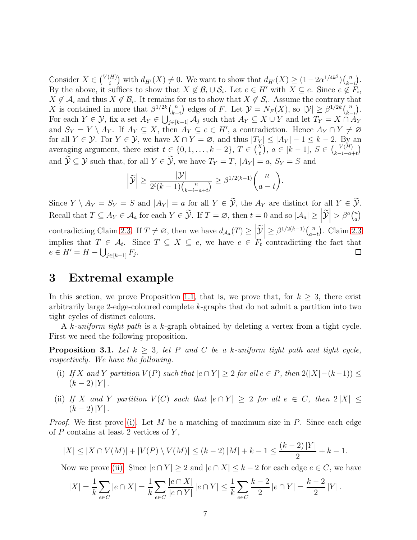Consider  $X \in \binom{V(H)}{i}$  $\binom{H}{i}$  with  $d_{H'}(X) \neq 0$ . We want to show that  $d_{H'}(X) \geq (1 - 2\alpha^{1/4k^2})\binom{n}{k-1}$  $\frac{k-i}{l}$  . By the above, it suffices to show that  $X \notin \mathcal{B}_i \cup \mathcal{S}_i$ . Let  $e \in H'$  with  $X \subseteq e$ . Since  $e \notin F_i$ ,  $X \notin \mathcal{A}_i$  and thus  $X \notin \mathcal{B}_i$ . It remains for us to show that  $X \notin \mathcal{S}_i$ . Assume the contrary that X is contained in more that  $\beta^{1/2k}$   $\binom{n}{k}$ k−i ) edges of F. Let  $\mathcal{Y} = N_F(X)$ , so  $|\mathcal{Y}| \geq \beta^{1/2k} {n \choose k-1}$  $\frac{k-i}{4}$  . For each  $Y \in \mathcal{Y}$ , fix a set  $A_Y \in \bigcup_{j\in[k-1]}^{\infty} A_j$  such that  $A_Y \subseteq X \cup Y$  and let  $T_Y = X \cap A_Y$ and  $S_Y = Y \setminus A_Y$ . If  $A_Y \subseteq X$ , then  $A_Y \subseteq e \in H'$ , a contradiction. Hence  $A_Y \cap Y \neq \emptyset$ for all  $Y \in \mathcal{Y}$ . For  $Y \in \mathcal{Y}$ , we have  $X \cap Y = \varnothing$ , and thus  $|T_Y| \leq |A_Y| - 1 \leq k - 2$ . By an averaging argument, there exist  $t \in \{0, 1, \ldots, k-2\}, T \in {X \choose t}, a \in [k-1], S \in {V(H) \choose k-i-a}$  $k-i-a+t$  $\overline{ }$ and  $\widetilde{\mathcal{Y}} \subseteq \mathcal{Y}$  such that, for all  $Y \in \widetilde{\mathcal{Y}}$ , we have  $T_Y = T$ ,  $|A_Y| = a$ ,  $S_Y = S$  and

$$
\left|\widetilde{\mathcal{Y}}\right| \ge \frac{|\mathcal{Y}|}{2^i(k-1)\binom{n}{k-i-a+t}} \ge \beta^{1/2(k-1)}\binom{n}{a-t}.
$$

Since  $Y \setminus A_Y = S_Y = S$  and  $|A_Y| = a$  for all  $Y \in \tilde{Y}$ , the  $A_Y$  are distinct for all  $Y \in \tilde{Y}$ . Recall that  $T \subseteq A_Y \in \mathcal{A}_a$  for each  $Y \in \widetilde{\mathcal{Y}}$ . If  $T = \varnothing$ , then  $t = 0$  and so  $|\mathcal{A}_a| \geq \left| \widetilde{\mathcal{Y}} \right|$  $\Big| > \beta^a \big( \begin{smallmatrix} n \\ a \end{smallmatrix} \Big|$  $\binom{n}{a}$ contradicting Claim [2.3.](#page-4-0) If  $T \neq \emptyset$ , then we have  $d_{\mathcal{A}_a}(T) \geq \left| \widetilde{\mathcal{Y}} \right|$  $\Big| \geq \beta^{1/2(k-1)} {n \choose a-1}$  . Claim [2.3](#page-4-0)  $a-t$ implies that  $T \in \mathcal{A}_t$ . Since  $T \subseteq X \subseteq e$ , we have  $e \in F_t$  contradicting the fact that  $e \in H' = H - \bigcup_{j \in [k-1]} F_j.$  $\Box$ 

## <span id="page-6-0"></span>3 Extremal example

In this section, we prove Proposition [1.1,](#page-1-2) that is, we prove that, for  $k \geq 3$ , there exist arbitrarily large 2-edge-coloured complete k-graphs that do not admit a partition into two tight cycles of distinct colours.

<span id="page-6-3"></span>A k*-uniform tight path* is a k-graph obtained by deleting a vertex from a tight cycle. First we need the following proposition.

<span id="page-6-1"></span>**Proposition 3.1.** Let  $k > 3$ , let P and C be a k-uniform tight path and tight cycle, *respectively. We have the following.*

- (i) *If* X and Y partition  $V(P)$  such that  $|e \cap Y| \geq 2$  for all  $e \in P$ , then  $2(|X|-(k-1)) \leq$  $(k-2)|Y|$ .
- <span id="page-6-2"></span>(ii) *If* X and Y partition  $V(C)$  such that  $|e \cap Y| \geq 2$  for all  $e \in C$ , then  $2|X| \leq$  $(k-2)|Y|$ .

*Proof.* We first prove [\(i\).](#page-6-1) Let M be a matching of maximum size in P. Since each edge of  $P$  contains at least 2 vertices of  $Y$ ,

$$
|X| \le |X \cap V(M)| + |V(P) \setminus V(M)| \le (k-2)|M| + k - 1 \le \frac{(k-2)|Y|}{2} + k - 1.
$$

Now we prove [\(ii\).](#page-6-2) Since  $|e \cap Y| \geq 2$  and  $|e \cap X| \leq k-2$  for each edge  $e \in C$ , we have

$$
|X| = \frac{1}{k} \sum_{e \in C} |e \cap X| = \frac{1}{k} \sum_{e \in C} \frac{|e \cap X|}{|e \cap Y|} |e \cap Y| \le \frac{1}{k} \sum_{e \in C} \frac{k-2}{2} |e \cap Y| = \frac{k-2}{2} |Y|.
$$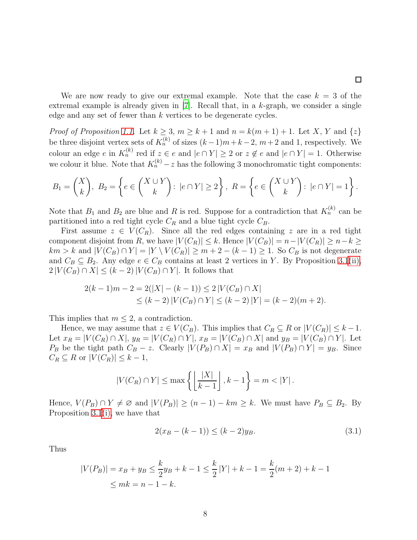$\Box$ 

We are now ready to give our extremal example. Note that the case  $k = 3$  of the extremal example is already given in  $|7|$ . Recall that, in a k-graph, we consider a single edge and any set of fewer than  $k$  vertices to be degenerate cycles.

*Proof of Proposition [1.1.](#page-1-2)* Let  $k \geq 3$ ,  $m \geq k+1$  and  $n = k(m+1)+1$ . Let X, Y and  $\{z\}$ be three disjoint vertex sets of  $K_n^{(k)}$  of sizes  $(k-1)m+k-2$ ,  $m+2$  and 1, respectively. We colour an edge e in  $K_n^{(k)}$  red if  $z \in e$  and  $|e \cap Y| \ge 2$  or  $z \notin e$  and  $|e \cap Y| = 1$ . Otherwise we colour it blue. Note that  $K_n^{(k)} - z$  has the following 3 monochromatic tight components:

$$
B_1 = \binom{X}{k}, \ B_2 = \left\{ e \in \binom{X \cup Y}{k} : |e \cap Y| \ge 2 \right\}, \ R = \left\{ e \in \binom{X \cup Y}{k} : |e \cap Y| = 1 \right\}.
$$

Note that  $B_1$  and  $B_2$  are blue and R is red. Suppose for a contradiction that  $K_n^{(k)}$  can be partitioned into a red tight cycle  $C_R$  and a blue tight cycle  $C_B$ .

First assume  $z \in V(C_R)$ . Since all the red edges containing z are in a red tight component disjoint from R, we have  $|V(C_R)| \leq k$ . Hence  $|V(C_B)| = n - |V(C_R)| \geq n - k \geq$  $km > k$  and  $|V(C_B) \cap Y| = |Y \setminus V(C_R)| \ge m + 2 - (k - 1) \ge 1$ . So  $C_B$  is not degenerate and  $C_B \subseteq B_2$ . Any edge  $e \in C_B$  contains at least 2 vertices in Y. By Proposition [3.1](#page-6-3)[\(ii\),](#page-6-2)  $2|V(C_B) \cap X| \leq (k-2)|V(C_B) \cap Y|$ . It follows that

$$
2(k-1)m - 2 = 2(|X| - (k-1)) \le 2|V(C_B) \cap X|
$$
  
\n
$$
\le (k-2)|V(C_B) \cap Y| \le (k-2)|Y| = (k-2)(m+2).
$$

This implies that  $m \leq 2$ , a contradiction.

Hence, we may assume that  $z \in V(C_B)$ . This implies that  $C_R \subseteq R$  or  $|V(C_R)| \leq k-1$ . Let  $x_R = |V(C_R) \cap X|$ ,  $y_R = |V(C_R) \cap Y|$ ,  $x_B = |V(C_B) \cap X|$  and  $y_B = |V(C_B) \cap Y|$ . Let  $P_B$  be the tight path  $C_B - z$ . Clearly  $|V(P_B) \cap X| = x_B$  and  $|V(P_B) \cap Y| = y_B$ . Since  $C_R \subseteq R$  or  $|V(C_R)| \leq k-1$ ,

$$
|V(C_R) \cap Y| \le \max\left\{ \left\lfloor \frac{|X|}{k-1} \right\rfloor, k-1 \right\} = m < |Y|.
$$

Hence,  $V(P_B) \cap Y \neq \emptyset$  and  $|V(P_B)| \geq (n-1) - km \geq k$ . We must have  $P_B \subseteq B_2$ . By Proposition [3.1](#page-6-3)[\(i\),](#page-6-1) we have that

<span id="page-7-0"></span>
$$
2(x_B - (k-1)) \le (k-2)y_B.
$$
\n(3.1)

Thus

$$
|V(P_B)| = x_B + y_B \le \frac{k}{2}y_B + k - 1 \le \frac{k}{2}|Y| + k - 1 = \frac{k}{2}(m+2) + k - 1
$$
  

$$
\le mk = n - 1 - k.
$$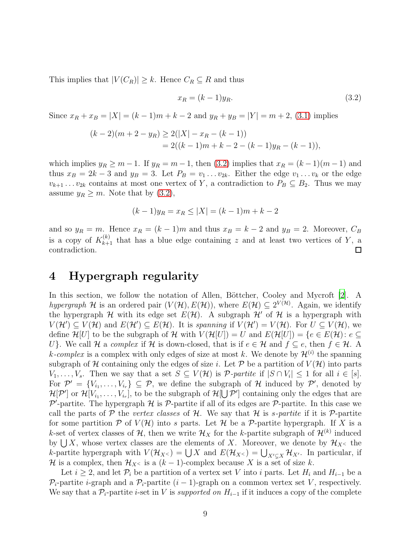This implies that  $|V(C_R)| \geq k$ . Hence  $C_R \subseteq R$  and thus

<span id="page-8-1"></span>
$$
x_R = (k-1)y_R. \tag{3.2}
$$

Since  $x_R + x_B = |X| = (k-1)m + k-2$  and  $y_R + y_B = |Y| = m+2$ , [\(3.1\)](#page-7-0) implies

$$
(k-2)(m+2-y_R) \ge 2(|X|-x_R-(k-1))
$$
  
= 2((k-1)m+k-2-(k-1)y\_R-(k-1)),

which implies  $y_R \geq m-1$ . If  $y_R = m-1$ , then [\(3.2\)](#page-8-1) implies that  $x_R = (k-1)(m-1)$  and thus  $x_B = 2k - 3$  and  $y_B = 3$ . Let  $P_B = v_1 \dots v_{2k}$ . Either the edge  $v_1 \dots v_k$  or the edge  $v_{k+1} \dots v_{2k}$  contains at most one vertex of Y, a contradiction to  $P_B \subseteq B_2$ . Thus we may assume  $y_R \geq m$ . Note that by [\(3.2\)](#page-8-1),

$$
(k-1)y_R = x_R \le |X| = (k-1)m + k - 2
$$

and so  $y_R = m$ . Hence  $x_R = (k-1)m$  and thus  $x_B = k-2$  and  $y_B = 2$ . Moreover,  $C_B$ is a copy of  $K_{k+1}^{(k)}$  that has a blue edge containing z and at least two vertices of Y, a contradiction.  $\Box$ 

## <span id="page-8-0"></span>4 Hypergraph regularity

In this section, we follow the notation of Allen, Böttcher, Cooley and Mycroft  $[2]$ . A *hypergraph*  $H$  is an ordered pair  $(V(H), E(H))$ , where  $E(H) \subseteq 2^{V(H)}$ . Again, we identify the hypergraph H with its edge set  $E(\mathcal{H})$ . A subgraph  $\mathcal{H}'$  of H is a hypergraph with  $V(\mathcal{H}') \subseteq V(\mathcal{H})$  and  $E(\mathcal{H}') \subseteq E(\mathcal{H})$ . It is *spanning* if  $V(\mathcal{H}') = V(\mathcal{H})$ . For  $U \subseteq V(\mathcal{H})$ , we define  $\mathcal{H}[U]$  to be the subgraph of H with  $V(\mathcal{H}[U]) = U$  and  $E(\mathcal{H}[U]) = \{e \in E(\mathcal{H}) : e \subseteq$ U}. We call H a *complex* if H is down-closed, that is if  $e \in H$  and  $f \subseteq e$ , then  $f \in H$ . A k-complex is a complex with only edges of size at most k. We denote by  $\mathcal{H}^{(i)}$  the spanning subgraph of H containing only the edges of size i. Let  $P$  be a partition of  $V(H)$  into parts  $V_1, \ldots, V_s$ . Then we say that a set  $S \subseteq V(H)$  is  $\mathcal{P}\text{-}partite$  if  $|S \cap V_i| \leq 1$  for all  $i \in [s]$ . For  $\mathcal{P}' = \{V_{i_1}, \ldots, V_{i_r}\} \subseteq \mathcal{P}$ , we define the subgraph of H induced by  $\mathcal{P}'$ , denoted by  $\mathcal{H}[\mathcal{P}']$  or  $\mathcal{H}[V_{i_1},\ldots,V_{i_r}],$  to be the subgraph of  $\mathcal{H}[\bigcup \mathcal{P}']$  containing only the edges that are  $\mathcal{P}'$ -partite. The hypergraph  $\mathcal{H}$  is  $\mathcal{P}$ -partite if all of its edges are  $\mathcal{P}$ -partite. In this case we call the parts of  $\mathcal P$  the *vertex classes* of  $\mathcal H$ . We say that  $\mathcal H$  is *s-partite* if it is  $\mathcal P$ -partite for some partition  $P$  of  $V(H)$  into s parts. Let  $H$  be a  $P$ -partite hypergraph. If X is a k-set of vertex classes of  $\mathcal{H}$ , then we write  $\mathcal{H}_X$  for the k-partite subgraph of  $\mathcal{H}^{(k)}$  induced by  $\bigcup X$ , whose vertex classes are the elements of X. Moreover, we denote by  $\mathcal{H}_{X<}$  the k-partite hypergraph with  $V(\mathcal{H}_{X<}) = \bigcup X$  and  $E(\mathcal{H}_{X<}) = \bigcup_{X'\subsetneq X} \mathcal{H}_{X'}$ . In particular, if H is a complex, then  $\mathcal{H}_{X<}$  is a  $(k-1)$ -complex because X is a set of size k.

Let  $i \geq 2$ , and let  $\mathcal{P}_i$  be a partition of a vertex set V into i parts. Let  $H_i$  and  $H_{i-1}$  be a  $\mathcal{P}_i$ -partite *i*-graph and a  $\mathcal{P}_i$ -partite  $(i-1)$ -graph on a common vertex set V, respectively. We say that a  $\mathcal{P}_i$ -partite *i*-set in V is *supported on*  $H_{i-1}$  if it induces a copy of the complete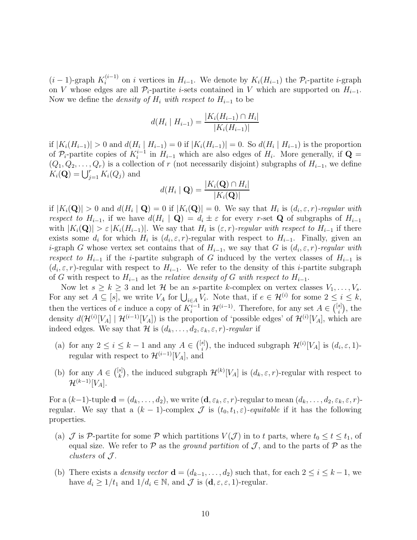$(i-1)$ -graph  $K_i^{(i-1)}$  on i vertices in  $H_{i-1}$ . We denote by  $K_i(H_{i-1})$  the  $\mathcal{P}_i$ -partite i-graph on V whose edges are all  $\mathcal{P}_i$ -partite i-sets contained in V which are supported on  $H_{i-1}$ . Now we define the *density of*  $H_i$  *with respect to*  $H_{i-1}$  to be

$$
d(H_i \mid H_{i-1}) = \frac{|K_i(H_{i-1}) \cap H_i|}{|K_i(H_{i-1})|}
$$

if  $|K_i(H_{i-1})| > 0$  and  $d(H_i | H_{i-1}) = 0$  if  $|K_i(H_{i-1})| = 0$ . So  $d(H_i | H_{i-1})$  is the proportion of  $\mathcal{P}_i$ -partite copies of  $K_i^{i-1}$  in  $H_{i-1}$  which are also edges of  $H_i$ . More generally, if  $\mathbf{Q} =$  $(Q_1, Q_2, \ldots, Q_r)$  is a collection of r (not necessarily disjoint) subgraphs of  $H_{i-1}$ , we define  $K_i(\mathbf{Q}) = \bigcup_{j=1}^r K_i(Q_j)$  and

$$
d(H_i \mid \mathbf{Q}) = \frac{|K_i(\mathbf{Q}) \cap H_i|}{|K_i(\mathbf{Q})|}
$$

if  $|K_i(\mathbf{Q})| > 0$  and  $d(H_i \mid \mathbf{Q}) = 0$  if  $|K_i(\mathbf{Q})| = 0$ . We say that  $H_i$  is  $(d_i, \varepsilon, r)$ -regular with *respect to*  $H_{i-1}$ , if we have  $d(H_i | \mathbf{Q}) = d_i \pm \varepsilon$  for every r-set **Q** of subgraphs of  $H_{i-1}$ with  $|K_i(\mathbf{Q})| > \varepsilon |K_i(H_{i-1})|$ . We say that  $H_i$  is  $(\varepsilon, r)$ *-regular with respect to*  $H_{i-1}$  if there exists some  $d_i$  for which  $H_i$  is  $(d_i, \varepsilon, r)$ -regular with respect to  $H_{i-1}$ . Finally, given an i-graph G whose vertex set contains that of  $H_{i-1}$ , we say that G is  $(d_i, \varepsilon, r)$ *-regular with respect to*  $H_{i-1}$  if the *i*-partite subgraph of G induced by the vertex classes of  $H_{i-1}$  is  $(d_i, \varepsilon, r)$ -regular with respect to  $H_{i-1}$ . We refer to the density of this *i*-partite subgraph of G with respect to H<sup>i</sup>−<sup>1</sup> as the *relative density of* G *with respect to* H<sup>i</sup>−<sup>1</sup>.

Now let  $s \ge k \ge 3$  and let  $\mathcal H$  be an s-partite k-complex on vertex classes  $V_1, \ldots, V_s$ . For any set  $A \subseteq [s]$ , we write  $V_A$  for  $\bigcup_{i \in A} V_i$ . Note that, if  $e \in \mathcal{H}^{(i)}$  for some  $2 \leq i \leq k$ , then the vertices of e induce a copy of  $K_i^{i-1}$  in  $\mathcal{H}^{(i-1)}$ . Therefore, for any set  $A \in \binom{[s]}{i}$  $_{i}^{s]}$ ), the density  $d(\mathcal{H}^{(i)}[V_A] | \mathcal{H}^{(i-1)}[V_A])$  is the proportion of 'possible edges' of  $\mathcal{H}^{(i)}[V_A]$ , which are indeed edges. We say that H is  $(d_k, \ldots, d_2, \varepsilon_k, \varepsilon, r)$ *-regular* if

- (a) for any  $2 \leq i \leq k-1$  and any  $A \in \binom{[s]}{i}$ <sup>s</sup><sup>[1]</sup>, the induced subgraph  $\mathcal{H}^{(i)}[V_A]$  is  $(d_i, \varepsilon, 1)$ regular with respect to  $\mathcal{H}^{(i-1)}[V_A]$ , and
- (b) for any  $A \in \binom{[s]}{k}$ <sup>[s]</sup>, the induced subgraph  $\mathcal{H}^{(k)}[V_A]$  is  $(d_k, \varepsilon, r)$ -regular with respect to  $\mathcal{H}^{(k-1)}[V_A].$

For a  $(k-1)$ -tuple  $\mathbf{d} = (d_k, \ldots, d_2)$ , we write  $(\mathbf{d}, \varepsilon_k, \varepsilon, r)$ -regular to mean  $(d_k, \ldots, d_2, \varepsilon_k, \varepsilon, r)$ regular. We say that a  $(k-1)$ -complex  $\mathcal J$  is  $(t_0, t_1, \varepsilon)$ -equitable if it has the following properties.

- (a)  $\mathcal J$  is P-partite for some P which partitions  $V(\mathcal J)$  in to t parts, where  $t_0 \le t \le t_1$ , of equal size. We refer to  $P$  as the *ground partition* of  $J$ , and to the parts of  $P$  as the *clusters* of  $J$ .
- (b) There exists a *density vector*  $\mathbf{d} = (d_{k-1}, \ldots, d_2)$  such that, for each  $2 \leq i \leq k-1$ , we have  $d_i \geq 1/t_1$  and  $1/d_i \in \mathbb{N}$ , and  $\mathcal J$  is  $(\mathbf{d}, \varepsilon, \varepsilon, 1)$ -regular.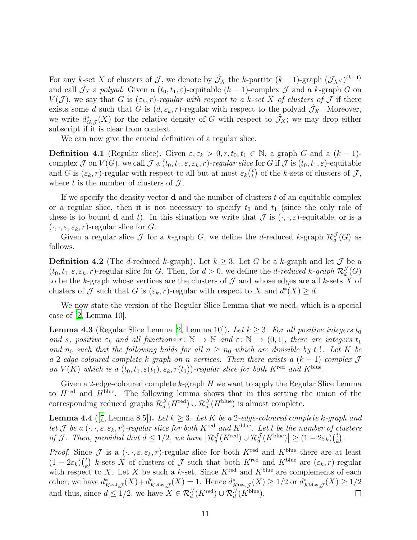For any k-set X of clusters of J, we denote by  $\hat{\mathcal{J}}_X$  the k-partite  $(k-1)$ -graph  $(\mathcal{J}_X)^{(k-1)}$ and call  $\hat{J}_X$  a *polyad*. Given a  $(t_0, t_1, \varepsilon)$ -equitable  $(k-1)$ -complex  $\mathcal J$  and a k-graph  $G$  on  $V(\mathcal{J})$ , we say that G is  $(\varepsilon_k, r)$ -regular with respect to a k-set X of clusters of  $\mathcal J$  if there exists some d such that G is  $(d, \varepsilon_k, r)$ -regular with respect to the polyad  $\mathcal{J}_X$ . Moreover, we write  $d_{G,\mathcal{J}}^*(X)$  for the relative density of G with respect to  $\mathcal{J}_X$ ; we may drop either subscript if it is clear from context.

We can now give the crucial definition of a regular slice.

**Definition 4.1** (Regular slice). Given  $\varepsilon, \varepsilon_k > 0, r, t_0, t_1 \in \mathbb{N}$ , a graph G and a  $(k-1)$ complex  $\mathcal J$  on  $V(G)$ , we call  $\mathcal J$  a  $(t_0, t_1, \varepsilon, \varepsilon_k, r)$ *-regular slice* for G if  $\mathcal J$  is  $(t_0, t_1, \varepsilon)$ *-equitable* and G is  $(\varepsilon_k, r)$ -regular with respect to all but at most  $\varepsilon_k$  $\binom{t}{k}$  $\binom{t}{k}$  of the k-sets of clusters of  $\mathcal{J},$ where t is the number of clusters of  $\mathcal{J}$ .

If we specify the density vector **d** and the number of clusters  $t$  of an equitable complex or a regular slice, then it is not necessary to specify  $t_0$  and  $t_1$  (since the only role of these is to bound **d** and t). In this situation we write that  $\mathcal{J}$  is  $(\cdot, \cdot, \varepsilon)$ -equitable, or is a  $(\cdot, \cdot, \varepsilon, \varepsilon_k, r)$ -regular slice for G.

Given a regular slice  $\mathcal J$  for a k-graph  $G$ , we define the d-reduced k-graph  $\mathcal R_d^{\mathcal J}(G)$  as follows.

**Definition 4.2** (The d-reduced k-graph). Let  $k \geq 3$ . Let G be a k-graph and let  $\mathcal{J}$  be a  $(t_0, t_1, \varepsilon, \varepsilon_k, r)$ -regular slice for G. Then, for  $d > 0$ , we define the *d*-reduced k-graph  $\mathcal{R}_d^{\mathcal{J}}(G)$ to be the k-graph whose vertices are the clusters of  $\mathcal J$  and whose edges are all k-sets X of clusters of  $\mathcal J$  such that G is  $(\varepsilon_k, r)$ -regular with respect to X and  $d^*(X) \geq d$ .

<span id="page-10-0"></span>We now state the version of the Regular Slice Lemma that we need, which is a special case of [\[2](#page-34-7), Lemma 10].

**Lemma 4.3** (Regular Slice Lemma [\[2,](#page-34-7) Lemma 10]). Let  $k \geq 3$ . For all positive integers  $t_0$ *and* s, positive  $\varepsilon_k$  and all functions  $r: \mathbb{N} \to \mathbb{N}$  and  $\varepsilon: \mathbb{N} \to (0,1]$ , there are integers  $t_1$ and  $n_0$  *such that the following holds for all*  $n \geq n_0$  *which are divisible by*  $t_1!$ *. Let* K *be a* 2*-edge-coloured complete* k*-graph on* n *vertices. Then there exists a* (k − 1)*-complex* J *on*  $V(K)$  *which is a*  $(t_0, t_1, \varepsilon(t_1), \varepsilon_k, r(t_1))$ *-regular slice for both*  $K^{\text{red}}$  *and*  $K^{\text{blue}}$ *.* 

Given a 2-edge-coloured complete  $k$ -graph  $H$  we want to apply the Regular Slice Lemma to  $H^{\text{red}}$  and  $H^{\text{blue}}$ . The following lemma shows that in this setting the union of the corresponding reduced graphs  $\mathcal{R}_d^{\mathcal{J}}(H^{\text{red}}) \cup \mathcal{R}_d^{\mathcal{J}}(H^{\text{blue}})$  is almost complete.

<span id="page-10-1"></span>**Lemma 4.4** ([\[7,](#page-34-6) Lemma 8.5]). Let  $k \geq 3$ . Let K be a 2-edge-coloured complete k-graph and *let*  $J$  *be a*  $(\cdot, \cdot, \varepsilon, \varepsilon_k, r)$ *-regular slice for both*  $K^{\text{red}}$  *and*  $K^{\text{blue}}$ *. Let t be the number of clusters of* J. Then, provided that  $d \leq 1/2$ , we have  $\left| \mathcal{R}_d^{\mathcal{J}}(K^{\text{red}}) \cup \mathcal{R}_d^{\mathcal{J}}(K^{\text{blue}}) \right| \geq (1 - 2\varepsilon_k) {t \choose k}$  $\binom{t}{k}$ .

*Proof.* Since  $\mathcal J$  is a  $(\cdot, \cdot, \varepsilon, \varepsilon_k, r)$ -regular slice for both  $K^{\text{red}}$  and  $K^{\text{blue}}$  there are at least  $(1-2\varepsilon_k)\binom{t}{k}$  k-sets X of clusters of J such that both  $K^{\text{red}}$  and  $K^{\text{blue}}$  are  $(\varepsilon_k, r)$ -regular with respect to X. Let X be such a k-set. Since  $K^{\text{red}}$  and  $K^{\text{blue}}$  are complements of each other, we have  $d^*_{K^{\text{red}},\mathcal{J}}(X) + d^*_{K^{\text{blue}},\mathcal{J}}(X) = 1$ . Hence  $d^*_{K^{\text{red}},\mathcal{J}}(X) \geq 1/2$  or  $d^*_{K^{\text{blue}},\mathcal{J}}(X) \geq 1/2$ and thus, since  $d \leq 1/2$ , we have  $X \in \mathcal{R}_d^{\mathcal{J}}(K^{\text{red}}) \cup \mathcal{R}_d^{\mathcal{J}}(K^{\text{blue}})$ .  $\Box$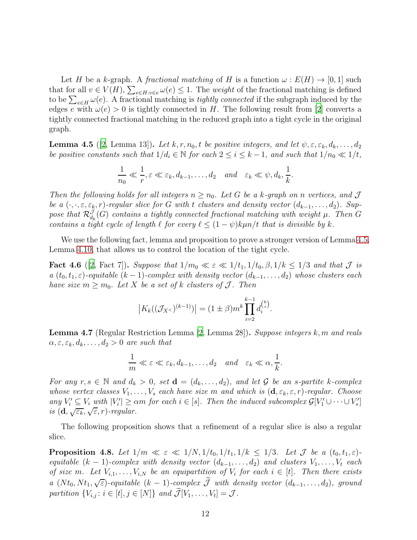Let H be a k-graph. A *fractional matching* of H is a function  $\omega : E(H) \to [0, 1]$  such that for all  $v \in V(H)$ ,  $\sum_{e \in H: v \in e} \omega(e) \leq 1$ . The *weight* of the fractional matching is defined to be  $\sum_{e \in H} \omega(e)$ . A fractional matching is *tightly connected* if the subgraph induced by the edges e with  $\omega(e) > 0$  is tightly connected in H. The following result from [\[2\]](#page-34-7) converts a tightly connected fractional matching in the reduced graph into a tight cycle in the original graph.

<span id="page-11-0"></span>**Lemma 4.5** ([\[2](#page-34-7), Lemma 13]). Let  $k, r, n_0, t$  be positive integers, and let  $\psi, \varepsilon, \varepsilon_k, d_k, \ldots, d_2$ *be positive constants such that*  $1/d_i \in \mathbb{N}$  *for each*  $2 \leq i \leq k-1$ *, and such that*  $1/n_0 \ll 1/t$ *,* 

$$
\frac{1}{n_0} \ll \frac{1}{r}, \varepsilon \ll \varepsilon_k, d_{k-1}, \dots, d_2 \quad and \quad \varepsilon_k \ll \psi, d_k, \frac{1}{k}.
$$

*Then the following holds for all integers*  $n \geq n_0$ . Let G be a k-graph on n vertices, and J *be a*  $(\cdot, \cdot, \varepsilon, \varepsilon_k, r)$ *-regular slice for* G *with* t *clusters and density vector*  $(d_{k-1}, \ldots, d_2)$ *. Sup*pose that  $\mathcal{R}_{d_k}^{\mathcal{J}}(G)$  *contains a tightly connected fractional matching with weight*  $\mu$ *. Then*  $G$ *contains a tight cycle of length*  $\ell$  *for every*  $\ell \leq (1 - \psi)k\mu n/t$  *that is divisible by* k.

<span id="page-11-2"></span>We use the following fact, lemma and proposition to prove a stronger version of Lemma [4.5,](#page-11-0) Lemma [4.10,](#page-13-0) that allows us to control the location of the tight cycle.

**Fact 4.6** ([\[2](#page-34-7), Fact 7]). Suppose that  $1/m_0 \ll \varepsilon \ll 1/t_1$ ,  $1/t_0$ ,  $\beta$ ,  $1/k \leq 1/3$  and that  $\mathcal{J}$  is *a*  $(t_0, t_1, \varepsilon)$ *-equitable*  $(k-1)$ *-complex with density vector*  $(d_{k-1}, \ldots, d_2)$  *whose clusters each have size*  $m \geq m_0$ *. Let* X *be a set of* k *clusters of* J. Then

$$
|K_k((\mathcal{J}_{X^<})^{(k-1)})| = (1 \pm \beta)m^k \prod_{i=2}^{k-1} d_i^{k \choose i}.
$$

<span id="page-11-1"></span>Lemma 4.7 (Regular Restriction Lemma [\[2,](#page-34-7) Lemma 28]). *Suppose integers* k, m *and reals*  $\alpha, \varepsilon, \varepsilon_k, d_k, \ldots, d_2 > 0$  *are such that* 

$$
\frac{1}{m} \ll \varepsilon \ll \varepsilon_k, d_{k-1}, \dots, d_2 \quad and \quad \varepsilon_k \ll \alpha, \frac{1}{k}.
$$

*For any*  $r, s \in \mathbb{N}$  and  $d_k > 0$ , set  $\mathbf{d} = (d_k, \ldots, d_2)$ , and let G be an s-partite k-complex *whose vertex classes*  $V_1, \ldots, V_s$  *each have size* m *and which is*  $(\mathbf{d}, \varepsilon_k, \varepsilon, r)$ *-regular. Choose*  $\lim_{N \to \infty} V_i' \subseteq V_i$  with  $|V_i'| \ge \alpha m$  for each  $i \in [s]$ . Then the induced subcomplex  $\mathcal{G}[V_1' \cup \cdots \cup V_s']$ *is*  $(d, \sqrt{\varepsilon_k}, \sqrt{\varepsilon}, r)$ *-regular.* 

<span id="page-11-3"></span>The following proposition shows that a refinement of a regular slice is also a regular slice.

**Proposition 4.8.** Let  $1/m \ll \varepsilon \ll 1/N$ ,  $1/t_0$ ,  $1/t_1$ ,  $1/k \leq 1/3$ . Let  $\mathcal{J}$  be a  $(t_0, t_1, \varepsilon)$ *equitable*  $(k - 1)$ *-complex with density vector*  $(d_{k-1}, \ldots, d_2)$  *and clusters*  $V_1, \ldots, V_t$  *each of size* m. Let  $V_{i,1}, \ldots, V_{i,N}$  be an equipartition of  $V_i$  for each  $i \in [t]$ . Then there exists *a*  $(Nt_0, Nt_1, \sqrt{\varepsilon})$ *-equitable*  $(k-1)$ *-complex*  $\widetilde{\mathcal{J}}$  *with density vector*  $(d_{k-1},...,d_2)$ *, ground* partition  $\{V_{i,j}: i \in [t], j \in [N]\}$  and  $\mathcal{J}[V_1, \ldots, V_t] = \mathcal{J}$ .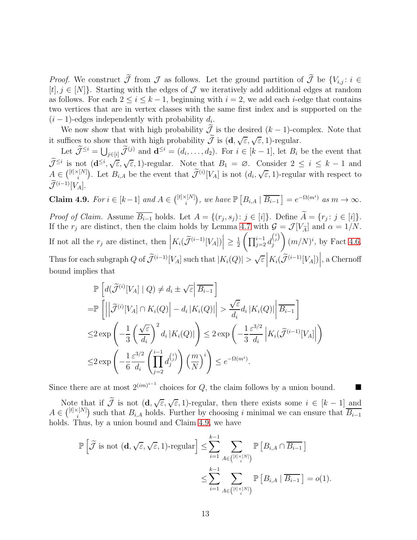*Proof.* We construct  $\widetilde{\mathcal{J}}$  from  $\mathcal{J}$  as follows. Let the ground partition of  $\widetilde{\mathcal{J}}$  be  $\{V_{i,j}: i \in$  $[t], j \in [N]$ . Starting with the edges of  $\mathcal J$  we iteratively add additional edges at random as follows. For each  $2 \leq i \leq k-1$ , beginning with  $i = 2$ , we add each *i*-edge that contains two vertices that are in vertex classes with the same first index and is supported on the  $(i-1)$ -edges independently with probability  $d_i$ .

We now show that with high probability  $\widetilde{\mathcal{J}}$  is the desired  $(k-1)$ -complex. Note that it suffices to show that with high probability  $\widetilde{\mathcal{J}}$  is  $(\mathbf{d}, \sqrt{\varepsilon}, \sqrt{\varepsilon}, 1)$ -regular.

Let  $\widetilde{\mathcal{J}}^{\leq i} = \bigcup_{j \in [i]} \widetilde{\mathcal{J}}^{(j)}$  and  $\mathbf{d}^{\leq i} = (d_i, \ldots, d_2)$ . For  $i \in [k-1]$ , let  $B_i$  be the event that  $\widetilde{\mathcal{J}}^{\leq i}$  is not  $(\mathbf{d}^{\leq i}, \sqrt{\varepsilon}, 1)$ -regular. Note that  $B_1 = \varnothing$ . Consider  $2 \leq i \leq k-1$  and  $A \in {^{[t]\times[N]} \choose i}$ . Let  $B_{i,A}$  be the event that  $\widetilde{\mathcal{J}}^{(i)}[V_A]$  is not  $(d_i, \sqrt{\varepsilon}, 1)$ -regular with respect to  $\widetilde{\mathcal{J}}^{(i-1)}[V_A].$ 

<span id="page-12-0"></span>Claim 4.9. *For*  $i \in [k-1]$  and  $A \in \binom{[t] \times [N]}{i}$ , we have  $\mathbb{P}\left[B_{i,A} \mid \overline{B_{i-1}}\right] = e^{-\Omega(m^i)}$  as  $m \to \infty$ .

*Proof of Claim.* Assume  $\overline{B_{i-1}}$  holds. Let  $A = \{(r_j, s_j) : j \in [i]\}$ . Define  $A = \{r_j : j \in [i]\}$ . If the  $r_j$  are distinct, then the claim holds by Lemma [4.7](#page-11-1) with  $\mathcal{G} = \mathcal{J}[V_{\tilde{A}}]$  and  $\alpha = 1/N$ . If not all the  $r_j$  are distinct, then  $\left| K_i(\widetilde{\mathcal{J}}^{(i-1)}[V_A]) \right| \geq \frac{1}{2}$  $\frac{1}{2} \left( \prod_{j=2}^{i-1} d_j^{i_j} \right)$ j  $\overline{ }$  $(m/N)^i$ , by Fact [4.6.](#page-11-2) Thus for each subgraph Q of  $\widetilde{\mathcal{J}}^{(i-1)}[V_A]$  such that  $|K_i(Q)| > \sqrt{\varepsilon} \left| K_i(\widetilde{\mathcal{J}}^{(i-1)}[V_A]) \right|$ , a Chernoff bound implies that

$$
\mathbb{P}\left[d(\widetilde{\mathcal{J}}^{(i)}[V_A] \mid Q) \neq d_i \pm \sqrt{\varepsilon} \Big| \overline{B_{i-1}}\right]
$$
\n
$$
= \mathbb{P}\left[\left|\Big|\widetilde{\mathcal{J}}^{(i)}[V_A] \cap K_i(Q)\Big| - d_i |K_i(Q)|\Big| > \frac{\sqrt{\varepsilon}}{d_i} d_i |K_i(Q)| \Big|\overline{B_{i-1}}\right]
$$
\n
$$
\leq 2 \exp\left(-\frac{1}{3} \left(\frac{\sqrt{\varepsilon}}{d_i}\right)^2 d_i |K_i(Q)|\right) \leq 2 \exp\left(-\frac{1}{3} \frac{\varepsilon^{3/2}}{d_i} \Big| K_i(\widetilde{\mathcal{J}}^{(i-1)}[V_A]\Big|\right)
$$
\n
$$
\leq 2 \exp\left(-\frac{1}{6} \frac{\varepsilon^{3/2}}{d_i} \left(\prod_{j=2}^{i-1} d_j^{(i)}\right) \left(\frac{m}{N}\right)^i\right) \leq e^{-\Omega(m^i)}.
$$

Since there are at most  $2^{(im)^{i-1}}$  choices for Q, the claim follows by a union bound.  $\blacksquare$ 

Note that if  $\widetilde{\mathcal{J}}$  is not  $(\mathbf{d}, \sqrt{\varepsilon}, \sqrt{\varepsilon}, 1)$ -regular, then there exists some  $i \in [k-1]$  and  $A \in \binom{[t] \times [N]}{i}$  such that  $B_{i,A}$  holds. Further by choosing i minimal we can ensure that  $\overline{B_{i-1}}$ holds. Thus, by a union bound and Claim [4.9,](#page-12-0) we have

$$
\mathbb{P}\left[\widetilde{\mathcal{J}} \text{ is not } (\mathbf{d}, \sqrt{\varepsilon}, \sqrt{\varepsilon}, 1)\text{-regular}\right] \leq \sum_{i=1}^{k-1} \sum_{A \in \binom{[t] \times [N]}{i}} \mathbb{P}\left[B_{i,A} \cap \overline{B_{i-1}}\right]
$$

$$
\leq \sum_{i=1}^{k-1} \sum_{A \in \binom{[t] \times [N]}{i}} \mathbb{P}\left[B_{i,A} \mid \overline{B_{i-1}}\right] = o(1).
$$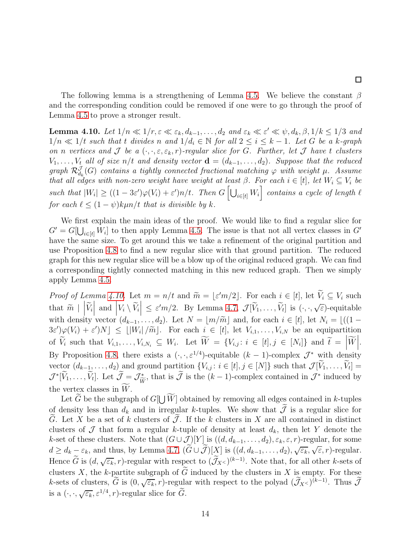The following lemma is a strengthening of Lemma [4.5.](#page-11-0) We believe the constant  $\beta$ and the corresponding condition could be removed if one were to go through the proof of Lemma [4.5](#page-11-0) to prove a stronger result.

 $\Box$ 

<span id="page-13-0"></span>**Lemma 4.10.** *Let*  $1/n \ll 1/r$ ,  $\varepsilon \ll \varepsilon_k$ ,  $d_{k-1}, \ldots, d_2$  *and*  $\varepsilon_k \ll \varepsilon' \ll \psi$ ,  $d_k$ ,  $\beta$ ,  $1/k \le 1/3$  *and*  $1/n \ll 1/t$  *such that* t *divides* n and  $1/d_i \in \mathbb{N}$  for all  $2 \leq i \leq k-1$ *. Let* G *be a* k-graph *on n vertices* and  $\mathcal{J}$  *be a*  $(\cdot, \cdot, \varepsilon, \varepsilon_k, r)$ *-regular slice for* G. Further, let  $\mathcal{J}$  have t clusters  $V_1, \ldots, V_t$  all of size  $n/t$  and density vector  $\mathbf{d} = (d_{k-1}, \ldots, d_2)$ . Suppose that the reduced  $graph R_{d_k}^{\mathcal{J}}(G)$  *contains* a tightly connected fractional matching  $\varphi$  with weight  $\mu$ . Assume *that all edges with non-zero weight have weight at least*  $\beta$ *. For each*  $i \in [t]$ *, let*  $W_i \subseteq V_i$  *be*  $\mathcal{L}$  such that  $|W_i| \ge ((1 - 3\varepsilon')\varphi(V_i) + \varepsilon')n/t$ . Then  $G\left[\bigcup_{i \in [t]} W_i\right]$  contains a cycle of length  $\ell$ *for each*  $\ell \leq (1 - \psi)k\mu n/t$  *that is divisible by* k.

We first explain the main ideas of the proof. We would like to find a regular slice for  $G' = G[\bigcup_{i \in [t]} W_i]$  to then apply Lemma [4.5.](#page-11-0) The issue is that not all vertex classes in  $G'$ have the same size. To get around this we take a refinement of the original partition and use Proposition [4.8](#page-11-3) to find a new regular slice with that ground partition. The reduced graph for this new regular slice will be a blow up of the original reduced graph. We can find a corresponding tightly connected matching in this new reduced graph. Then we simply apply Lemma [4.5.](#page-11-0)

*Proof of Lemma [4.10.](#page-13-0)* Let  $m = n/t$  and  $\widetilde{m} = \lfloor \varepsilon' m/2 \rfloor$ . For each  $i \in [t]$ , let  $V_i \subseteq V_i$  such that  $\widetilde{m} \mid |\widetilde{V}_i|$  and  $|V_i \setminus \widetilde{V}_i| \leq \varepsilon' m/2$ . By Lemma [4.7,](#page-11-1)  $\mathcal{J}[\widetilde{V}_1, \ldots, \widetilde{V}_t]$  is  $(\cdot, \cdot, \sqrt{\varepsilon})$ -equitable with density vector  $(d_{k-1}, \ldots, d_2)$ . Let  $N = \lfloor m/\widetilde{m} \rfloor$  and, for each  $i \in [t]$ , let  $N_i = \lfloor ((1 - \frac{1}{i})^2 + 1)^2 \rfloor$  $3\varepsilon'\gtrsim (V_i) + \varepsilon' N \leq \lfloor |W_i| / \widetilde{m} \rfloor$ . For each  $i \in [t]$ , let  $V_{i,1}, \ldots, V_{i,N}$  be an equipartition of  $\widetilde{V}_i$  such that  $V_{i,1},\ldots,V_{i,N_i} \subseteq W_i$ . Let  $\widetilde{W} = \{V_{i,j} : i \in [t], j \in [N_i]\}$  and  $\widetilde{t} = \left|\widetilde{W}\right|$ .  $\mathsf{I}$ By Proposition [4.8,](#page-11-3) there exists a  $(\cdot, \cdot, \varepsilon^{1/4})$ -equitable  $(k-1)$ -complex  $\mathcal{J}^*$  with density vector  $(d_{k-1},...,d_2)$  and ground partition  $\{V_{i,j}: i \in [t], j \in [N]\}$  such that  $\mathcal{J}[V_1,...,V_t] =$  $\mathcal{J}^*[V_1,\ldots,V_t]$ . Let  $\mathcal{J} = \mathcal{J}_{\widetilde{W}}^*$ , that is  $\mathcal{J}$  is the  $(k-1)$ -complex contained in  $\mathcal{J}^*$  induced by the vertex classes in  $\widetilde{W}$ .

Let  $\widetilde{G}$  be the subgraph of  $G[\bigcup \widetilde{W}]$  obtained by removing all edges contained in k-tuples of density less than  $d_k$  and in irregular k-tuples. We show that  $\tilde{\mathcal{J}}$  is a regular slice for G. Let X be a set of k clusters of  $\mathcal J$ . If the k clusters in X are all contained in distinct clusters of  $\mathcal J$  that form a regular k-tuple of density at least  $d_k$ , then let Y denote the k-set of these clusters. Note that  $(G \cup \mathcal{J})[Y]$  is  $((d, d_{k-1}, \ldots, d_2), \varepsilon_k, \varepsilon, r)$ -regular, for some  $d \geq d_k - \varepsilon_k$ , and thus, by Lemma [4.7,](#page-11-1)  $(\widetilde{G} \cup \widetilde{\mathcal{J}})[\underline{X}]$  is  $((d, d_{k-1}, \ldots, d_2), \sqrt{\varepsilon_k}, \sqrt{\varepsilon}, r)$ -regular. Hence  $\widetilde{G}$  is  $(d, \sqrt{\varepsilon_k}, r)$ -regular with respect to  $(\widetilde{J}_X)^{(k-1)}$ . Note that, for all other k-sets of clusters X, the k-partite subgraph of  $\tilde{G}$  induced by the clusters in X is empty. For these k-sets of clusters,  $\widetilde{G}$  is  $(0, \sqrt{\varepsilon_k}, r)$ -regular with respect to the polyad  $(\widetilde{J}_X)^{(k-1)}$ . Thus  $\widetilde{J}$ is a  $(\cdot, \cdot, \sqrt{\varepsilon_k}, \varepsilon^{1/4}, r)$ -regular slice for  $\widetilde{G}$ .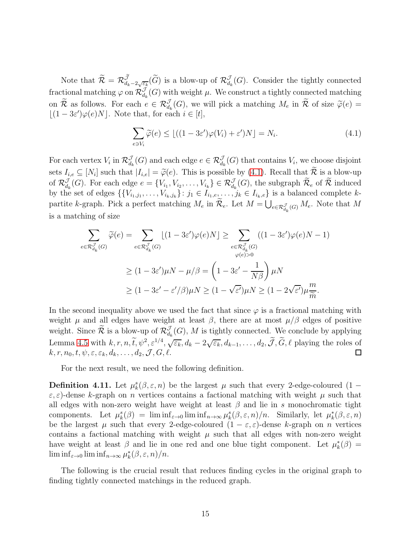Note that  $\widetilde{\mathcal{R}} = \mathcal{R}^{\widetilde{\mathcal{J}}}_{d_k-2\sqrt{\varepsilon_k}}(\widetilde{G})$  is a blow-up of  $\mathcal{R}^{\mathcal{J}}_{d_k}(G)$ . Consider the tightly connected fractional matching  $\varphi$  on  $\mathcal{R}_{d_k}^J(G)$  with weight  $\mu$ . We construct a tightly connected matching on R as follows. For each  $e \in \mathcal{R}_{d_k}^J(G)$ , we will pick a matching  $M_e$  in R of size  $\widetilde{\varphi}(e) =$  $\lfloor (1 - 3\varepsilon')\varphi(e)N \rfloor$ . Note that, for each  $i \in [t]$ ,

<span id="page-14-1"></span>
$$
\sum_{e \ni V_i} \widetilde{\varphi}(e) \le \lfloor ((1 - 3\varepsilon')\varphi(V_i) + \varepsilon')N \rfloor = N_i.
$$
\n(4.1)

For each vertex  $V_i$  in  $\mathcal{R}_{d_k}^J(G)$  and each edge  $e \in \mathcal{R}_{d_k}^J(G)$  that contains  $V_i$ , we choose disjoint sets  $I_{i,e} \subseteq [N_i]$  such that  $|I_{i,e}| = \widetilde{\varphi}(e)$ . This is possible by [\(4.1\)](#page-14-1). Recall that  $\mathcal R$  is a blow-up of  $\mathcal{R}_{d_k}^{\mathcal{J}}(G)$ . For each edge  $e = \{V_{i_1}, V_{i_2}, \ldots, V_{i_k}\} \in \mathcal{R}_{d_k}^{\mathcal{J}}(G)$ , the subgraph  $\mathcal{R}_e$  of  $\mathcal{R}$  induced by the set of edges  $\{\{V_{i_1,j_1},\ldots,V_{i_k,j_k}\}\colon j_1\in I_{i_1,e},\ldots,j_k\in I_{i_k,e}\}\$  is a balanced complete kpartite k-graph. Pick a perfect matching  $M_e$  in  $\widetilde{\mathcal{R}}_e$ . Let  $M = \bigcup_{e \in \mathcal{R}_{d_k}(G)} M_e$ . Note that M is a matching of size

$$
\sum_{e \in \mathcal{R}_{d_k}^{\mathcal{J}}(G)} \widetilde{\varphi}(e) = \sum_{e \in \mathcal{R}_{d_k}^{\mathcal{J}}(G)} \lfloor (1 - 3\varepsilon')\varphi(e)N \rfloor \ge \sum_{e \in \mathcal{R}_{d_k}^{\mathcal{J}}(G)} \left( (1 - 3\varepsilon')\varphi(e)N - 1 \right)
$$
  

$$
\ge (1 - 3\varepsilon')\mu N - \mu/\beta = \left( 1 - 3\varepsilon' - \frac{1}{N\beta} \right) \mu N
$$
  

$$
\ge (1 - 3\varepsilon' - \varepsilon'/\beta)\mu N \ge (1 - \sqrt{\varepsilon'})\mu N \ge (1 - 2\sqrt{\varepsilon'})\mu \frac{m}{\widetilde{m}}.
$$

In the second inequality above we used the fact that since  $\varphi$  is a fractional matching with weight  $\mu$  and all edges have weight at least  $\beta$ , there are at most  $\mu/\beta$  edges of positive weight. Since  $\mathcal{R}$  is a blow-up of  $\mathcal{R}_{d_k}^{\mathcal{J}}(G)$ , M is tightly connected. We conclude by applying Lemma [4.5](#page-11-0) with  $k, r, n, \tilde{t}, \psi^2, \varepsilon^{1/4}, \sqrt{\varepsilon_k}, d_k - 2\sqrt{\varepsilon_k}, d_{k-1}, \dots, d_2, \tilde{\mathcal{J}}, \tilde{G}, \ell$  playing the roles of  $k, r, n_0, t, \psi, \varepsilon, \varepsilon_k, d_k, \ldots, d_2, \mathcal{J}, G, \ell.$ 

For the next result, we need the following definition.

**Definition 4.11.** Let  $\mu_k^s(\beta, \varepsilon, n)$  be the largest  $\mu$  such that every 2-edge-coloured (1 –  $\varepsilon, \varepsilon$ )-dense k-graph on *n* vertices contains a factional matching with weight  $\mu$  such that all edges with non-zero weight have weight at least  $\beta$  and lie in s monochromatic tight components. Let  $\mu_k^s(\beta) = \liminf_{\varepsilon \to 0} \liminf_{n \to \infty} \mu_k^s(\beta, \varepsilon, n)/n$ . Similarly, let  $\mu_k^*(\beta, \varepsilon, n)$ be the largest  $\mu$  such that every 2-edge-coloured  $(1 - \varepsilon, \varepsilon)$ -dense k-graph on n vertices contains a factional matching with weight  $\mu$  such that all edges with non-zero weight have weight at least  $\beta$  and lie in one red and one blue tight component. Let  $\mu_k^*(\beta) =$  $\liminf_{\varepsilon\to 0} \liminf_{n\to\infty} \mu_k^*(\beta, \varepsilon, n)/n.$ 

<span id="page-14-0"></span>The following is the crucial result that reduces finding cycles in the original graph to finding tightly connected matchings in the reduced graph.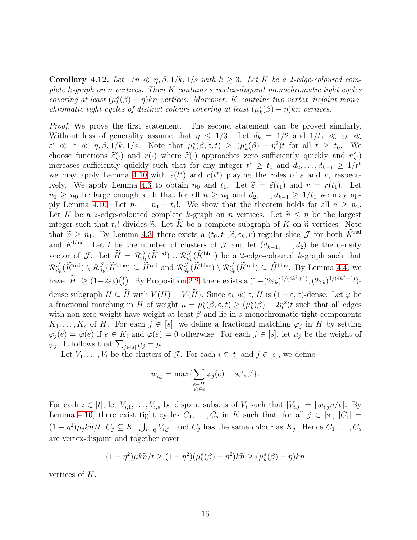**Corollary 4.12.** Let  $1/n \ll n, \beta, 1/k, 1/s$  with  $k \geq 3$ . Let K be a 2-edge-coloured com*plete* k*-graph on* n *vertices. Then* K *contains* s *vertex-disjoint monochromatic tight cycles covering at least*  $(\mu_k^s(\beta) - \eta)kn$  *vertices. Moreover,* K *contains two vertex-disjoint monochromatic tight cycles of distinct colours covering at least*  $(\mu_k^*(\beta) - \eta)$ *kn vertices.* 

*Proof.* We prove the first statement. The second statement can be proved similarly. Without loss of generality assume that  $\eta \leq 1/3$ . Let  $d_k = 1/2$  and  $1/t_0 \ll \varepsilon_k \ll$  $\varepsilon' \ll \varepsilon \ll \eta, \beta, 1/k, 1/s$ . Note that  $\mu_k^s(\beta, \varepsilon, t) \ge (\mu_k^s(\beta) - \eta^2)t$  for all  $t \ge t_0$ . We choose functions  $\tilde{\varepsilon}(\cdot)$  and  $r(\cdot)$  where  $\tilde{\varepsilon}(\cdot)$  approaches zero sufficiently quickly and  $r(\cdot)$ increases sufficiently quickly such that for any integer  $t^* \geq t_0$  and  $d_2, \ldots, d_{k-1} \geq 1/t^*$ we may apply Lemma [4.10](#page-13-0) with  $\tilde{\varepsilon}(t^*)$  and  $r(t^*)$  playing the roles of  $\varepsilon$  and  $r$ , respect-ively. We apply Lemma [4.3](#page-10-0) to obtain  $n_0$  and  $t_1$ . Let  $\tilde{\varepsilon} = \tilde{\varepsilon}(t_1)$  and  $r = r(t_1)$ . Let  $n_1 \geq n_0$  be large enough such that for all  $n \geq n_1$  and  $d_2, \ldots, d_{k-1} \geq 1/t_1$  we may ap-ply Lemma [4.10.](#page-13-0) Let  $n_2 = n_1 + t_1!$ . We show that the theorem holds for all  $n \geq n_2$ . Let K be a 2-edge-coloured complete k-graph on n vertices. Let  $\tilde{n} \leq n$  be the largest integer such that  $t_1!$  divides  $\widetilde{n}$ . Let K be a complete subgraph of K on  $\widetilde{n}$  vertices. Note that  $\widetilde{n} \geq n_1$ . By Lemma [4.3,](#page-10-0) there exists a  $(t_0, t_1, \widetilde{\varepsilon}, \varepsilon_k, r)$ -regular slice  $\mathcal J$  for both  $\widetilde{K}^{\text{red}}$ and  $\widetilde{K}^{\text{blue}}$ . Let t be the number of clusters of  $\mathcal J$  and let  $(d_{k-1},\ldots,d_2)$  be the density vector of J. Let  $H = \mathcal{R}_{d_k}^{\mathcal{J}}(K^{\text{red}}) \cup \mathcal{R}_{d_k}^{\mathcal{J}}(K^{\text{blue}})$  be a 2-edge-coloured k-graph such that  $\mathcal{R}_{d_k}^{\mathcal{J}}(K^{\text{red}}) \setminus \mathcal{R}_{d_k}^{\mathcal{J}}(\bar{K}^{\text{blue}}) \subseteq \bar{H}^{\text{red}}$  and  $\mathcal{R}_{d_k}^{\mathcal{J}}(\bar{K}^{\text{blue}}) \setminus \mathcal{R}_{d_k}^{\mathcal{J}}(\bar{K}^{\text{red}}) \subseteq \bar{H}^{\text{blue}}$ . By Lemma [4.4,](#page-10-1) we have  $\left| \widetilde{H} \right| \geq (1-2\varepsilon_k) {t \choose k}$ <sup>t</sup><sub>k</sub>). By Proposition [2.2,](#page-4-1) there exists a  $(1 - (2\varepsilon_k)^{1/(4k^2+1)}, (2\varepsilon_k)^{1/(4k^2+1)})$ dense subgraph  $H \subseteq \widetilde{H}$  with  $V(H) = V(\widetilde{H})$ . Since  $\varepsilon_k \ll \varepsilon$ , H is  $(1 - \varepsilon, \varepsilon)$ -dense. Let  $\varphi$  be a fractional matching in H of weight  $\mu = \mu_k^s(\beta, \varepsilon, t) \ge (\mu_k^s(\beta) - 2\eta^2)t$  such that all edges with non-zero weight have weight at least  $\beta$  and lie in s monochromatic tight components  $K_1, \ldots, K_s$  of H. For each  $j \in [s]$ , we define a fractional matching  $\varphi_j$  in H by setting  $\varphi_j(e) = \varphi(e)$  if  $e \in K_i$  and  $\varphi(e) = 0$  otherwise. For each  $j \in [s]$ , let  $\mu_j$  be the weight of  $\varphi_j$ . It follows that  $\sum_{j \in [s]} \mu_j = \mu$ .

Let  $V_1, \ldots, V_t$  be the clusters of  $\mathcal J$ . For each  $i \in [t]$  and  $j \in [s]$ , we define

$$
w_{i,j} = \max \{ \sum_{\substack{e \in H \\ V_i \in e}} \varphi_j(e) - s \varepsilon', \varepsilon' \}.
$$

For each  $i \in [t]$ , let  $V_{i,1}, \ldots, V_{i,s}$  be disjoint subsets of  $V_i$  such that  $|V_{i,j}| = [w_{i,j}n/t]$ . By Lemma [4.10,](#page-13-0) there exist tight cycles  $C_1, \ldots, C_s$  in K such that, for all  $j \in [s], |C_j| =$  $(1 - \eta^2)\mu_j k \widetilde{n}/t$ ,  $C_j \subseteq K \left[\bigcup_{i \in [t]} V_{i,j}\right]$  and  $C_j$  has the same colour as  $K_j$ . Hence  $C_1, \ldots, C_s$ are vertex-disjoint and together cover

$$
(1 - \eta^2)\mu k \widetilde{n}/t \ge (1 - \eta^2)(\mu_k^s(\beta) - \eta^2)k \widetilde{n} \ge (\mu_k^s(\beta) - \eta)kn
$$

vertices of K.

 $\Box$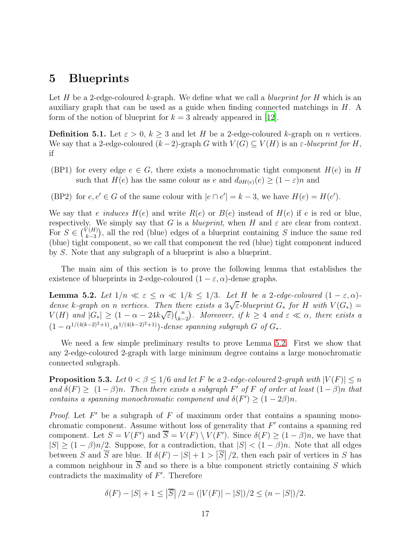### <span id="page-16-0"></span>5 Blueprints

Let H be a 2-edge-coloured k-graph. We define what we call a *blueprint for* H which is an auxiliary graph that can be used as a guide when finding connected matchings in H. A form of the notion of blueprint for  $k = 3$  already appeared in [\[12\]](#page-35-9).

**Definition 5.1.** Let  $\varepsilon > 0$ ,  $k \geq 3$  and let H be a 2-edge-coloured k-graph on n vertices. We say that a 2-edge-coloured  $(k-2)$ -graph G with  $V(G) \subseteq V(H)$  is an  $\varepsilon$ -blueprint for H, if

- <span id="page-16-3"></span>(BP1) for every edge  $e \in G$ , there exists a monochromatic tight component  $H(e)$  in H such that  $H(e)$  has the same colour as e and  $d_{\partial H(e)}(e) \geq (1 - \varepsilon)n$  and
- (BP2) for  $e, e' \in G$  of the same colour with  $|e \cap e'| = k 3$ , we have  $H(e) = H(e')$ .

We say that *e induces*  $H(e)$  and write  $R(e)$  or  $B(e)$  instead of  $H(e)$  if *e* is red or blue, respectively. We simply say that G is a *blueprint*, when H and  $\varepsilon$  are clear from context. For  $S \in \binom{V(H)}{k-3}$  $k-3$ ), all the red (blue) edges of a blueprint containing  $S$  induce the same red (blue) tight component, so we call that component the red (blue) tight component induced by S. Note that any subgraph of a blueprint is also a blueprint.

<span id="page-16-1"></span>The main aim of this section is to prove the following lemma that establishes the existence of blueprints in 2-edge-coloured  $(1 - \varepsilon, \alpha)$ -dense graphs.

**Lemma 5.2.** Let  $1/n \ll \varepsilon \leq \alpha \ll 1/k \leq 1/3$ . Let H be a 2-edge-coloured  $(1-\varepsilon,\alpha)$ dense k-graph on n vertices. Then there exists a  $3\sqrt{\varepsilon}$ -blueprint  $G^*$  for H with  $V(G^*)$  =  $V(H)$  and  $|G_*| \geq (1 - \alpha - 24k\sqrt{\varepsilon})\binom{n}{k-1}$  $k-2$ *). Moreover, if*  $k \geq 4$  *and*  $\varepsilon \ll \alpha$ *, there exists a*  $(1 - \alpha^{1/(4(k-2)^2+1)}, \alpha^{1/(4(k-2)^2+1)})$ *-dense spanning subgraph*  $G$  *of*  $G_*$ *.* 

We need a few simple preliminary results to prove Lemma [5.2.](#page-16-1) First we show that any 2-edge-coloured 2-graph with large minimum degree contains a large monochromatic connected subgraph.

<span id="page-16-2"></span>**Proposition 5.3.** *Let*  $0 < \beta \leq 1/6$  *and let* F *be a* 2-edge-coloured 2-graph with  $|V(F)| \leq n$ and  $\delta(F) \geq (1 - \beta)n$ . Then there exists a subgraph  $F'$  of  $F$  of order at least  $(1 - \beta)n$  that *contains a spanning monochromatic component and*  $\delta(F') \geq (1 - 2\beta)n$ .

*Proof.* Let  $F'$  be a subgraph of  $F$  of maximum order that contains a spanning monochromatic component. Assume without loss of generality that  $F'$  contains a spanning red component. Let  $S = V(F')$  and  $S = V(F) \setminus V(F')$ . Since  $\delta(F) \geq (1 - \beta)n$ , we have that  $|S| \geq (1 - \beta)n/2$ . Suppose, for a contradiction, that  $|S| < (1 - \beta)n$ . Note that all edges between S and  $\overline{S}$  are blue. If  $\delta(F) - |S| + 1 > |\overline{S}|/2$ , then each pair of vertices in S has a common neighbour in  $\overline{S}$  and so there is a blue component strictly containing S which contradicts the maximality of  $F'$ . Therefore

$$
\delta(F) - |S| + 1 \le |\overline{S}| / 2 = (|V(F)| - |S|) / 2 \le (n - |S|) / 2.
$$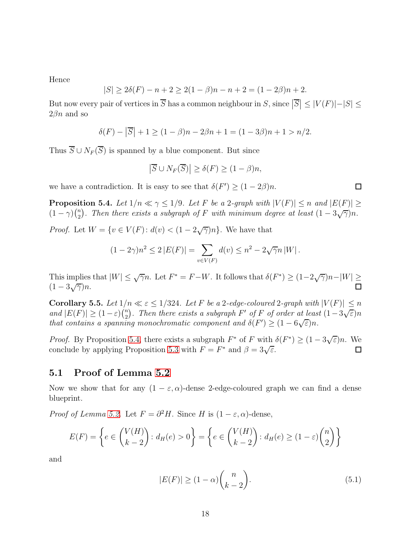Hence

$$
|S| \ge 2\delta(F) - n + 2 \ge 2(1 - \beta)n - n + 2 = (1 - 2\beta)n + 2.
$$

But now every pair of vertices in  $\overline{S}$  has a common neighbour in S, since  $|\overline{S}| \leq |V(F)| - |S| \leq$  $2\beta n$  and so

$$
\delta(F) - |\overline{S}| + 1 \ge (1 - \beta)n - 2\beta n + 1 = (1 - 3\beta)n + 1 > n/2.
$$

Thus  $\overline{S} \cup N_F(\overline{S})$  is spanned by a blue component. But since

$$
\left|\overline{S} \cup N_F(\overline{S})\right| \ge \delta(F) \ge (1-\beta)n,
$$

<span id="page-17-0"></span>we have a contradiction. It is easy to see that  $\delta(F') \geq (1 - 2\beta)n$ .

**Proposition 5.4.** *Let*  $1/n \ll \gamma \leq 1/9$ *. Let* F *be a* 2*-graph with*  $|V(F)| \leq n$  *and*  $|E(F)| \geq$  $(1-\gamma)\binom{n}{2}$ <sup>n</sup><sub>2</sub>). Then there exists a subgraph of F with minimum degree at least  $(1-3\sqrt{\gamma})n$ .

*Proof.* Let  $W = \{v \in V(F) : d(v) < (1 - 2\sqrt{\gamma})n\}$ . We have that

$$
(1 - 2\gamma)n^{2} \le 2 |E(F)| = \sum_{v \in V(F)} d(v) \le n^{2} - 2\sqrt{\gamma}n |W|.
$$

This implies that  $|W| \leq \sqrt{\gamma}n$ . Let  $F^* = F - W$ . It follows that  $\delta(F^*) \geq (1 - 2\sqrt{\gamma})n - |W| \geq$  $(1-3\sqrt{\gamma})n$ .

<span id="page-17-1"></span>Corollary 5.5. Let  $1/n \ll \varepsilon \leq 1/324$ . Let F be a 2-edge-coloured 2-graph with  $|V(F)| \leq n$ *and*  $|E(F)| \geq (1 - \varepsilon) \binom{n}{2}$ <sup>n</sup><sub>2</sub>). Then there exists a subgraph  $F'$  of  $F$  of order at least  $(1-3\sqrt{\varepsilon})n$ *that contains a spanning monochromatic component and*  $\delta(F') \geq (1 - 6\sqrt{\varepsilon})n$ .

*Proof.* By Proposition [5.4,](#page-17-0) there exists a subgraph  $F^*$  of  $F$  with  $\delta(F^*) \geq (1 - 3\sqrt{\varepsilon})n$ . We conclude by applying Proposition [5.3](#page-16-2) with  $F = F^*$  and  $\beta = 3\sqrt{\varepsilon}$ .  $\Box$ 

### 5.1 Proof of Lemma [5.2](#page-16-1)

Now we show that for any  $(1 - \varepsilon, \alpha)$ -dense 2-edge-coloured graph we can find a dense blueprint.

*Proof of Lemma [5.2.](#page-16-1)* Let  $F = \partial^2 H$ . Since H is  $(1 - \varepsilon, \alpha)$ -dense,

$$
E(F) = \left\{ e \in \binom{V(H)}{k-2} : d_H(e) > 0 \right\} = \left\{ e \in \binom{V(H)}{k-2} : d_H(e) \ge (1-\varepsilon) \binom{n}{2} \right\}
$$

and

<span id="page-17-2"></span>
$$
|E(F)| \ge (1 - \alpha) {n \choose k - 2}.
$$
\n
$$
(5.1)
$$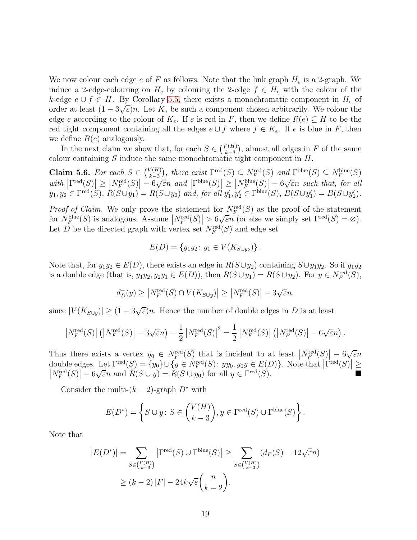We now colour each edge  $e$  of  $F$  as follows. Note that the link graph  $H_e$  is a 2-graph. We induce a 2-edge-colouring on  $H_e$  by colouring the 2-edge  $f \in H_e$  with the colour of the k-edge  $e \cup f \in H$ . By Corollary [5.5,](#page-17-1) there exists a monochromatic component in  $H_e$  of order at least  $(1-3\sqrt{\varepsilon})n$ . Let  $K_e$  be such a component chosen arbitrarily. We colour the edge e according to the colour of  $K_e$ . If e is red in F, then we define  $R(e) \subseteq H$  to be the red tight component containing all the edges  $e \cup f$  where  $f \in K_e$ . If e is blue in F, then we define  $B(e)$  analogously.

In the next claim we show that, for each  $S \in \binom{V(H)}{k-3}$  $k-3$ ), almost all edges in  $F$  of the same colour containing S induce the same monochromatic tight component in H.

Claim 5.6. *For each*  $S \in \binom{V(H)}{k-3}$  $k-3$ ), there exist  $\Gamma^{\text{red}}(S) \subseteq N_F^{\text{red}}(S)$  and  $\Gamma^{\text{blue}}(S) \subseteq N_F^{\text{blue}}(S)$  $\|V^{\text{red}}(S)\| \geq \|N^{\text{red}}_F(S)\| - 6\sqrt{\varepsilon}n$  and  $\|\Gamma^{\text{blue}}(S)\| \geq \|N^{\text{blue}}_F(S)\| - 6\sqrt{\varepsilon}n$  such that, for all  $y_1, y_2 \in \Gamma^{\text{red}}(S), R(S \cup y_1) = R(S \cup y_2) \text{ and, for all } y'_1, y'_2 \in \Gamma^{\text{blue}}(S), B(S \cup y'_1) = B(S \cup y'_2).$ 

*Proof of Claim.* We only prove the statement for  $N_F^{\text{red}}(S)$  as the proof of the statement for  $N_F^{\text{blue}}(S)$  is analogous. Assume  $|N_F^{\text{red}}(S)| > 6\sqrt{\varepsilon n}$  (or else we simply set  $\Gamma^{\text{red}}(S) = \varnothing$ ). Let D be the directed graph with vertex set  $N_F^{\text{red}}(S)$  and edge set

$$
E(D) = \{y_1y_2 : y_1 \in V(K_{S \cup y_2})\}.
$$

Note that, for  $y_1y_2 \in E(D)$ , there exists an edge in  $R(S \cup y_2)$  containing  $S \cup y_1y_2$ . So if  $y_1y_2$ is a double edge (that is,  $y_1y_2, y_2y_1 \in E(D)$ ), then  $R(S \cup y_1) = R(S \cup y_2)$ . For  $y \in N_F^{\text{red}}(S)$ ,

$$
d_D^-(y) \ge |N_F^{\text{red}}(S) \cap V(K_{S \cup y})| \ge |N_F^{\text{red}}(S)| - 3\sqrt{\varepsilon}n,
$$

since  $|V(K_{S\cup y})| \ge (1 - 3\sqrt{\varepsilon})n$ . Hence the number of double edges in D is at least

$$
\left|N_F^{\text{red}}(S)\right| \left(\left|N_F^{\text{red}}(S)\right| - 3\sqrt{\varepsilon}n\right) - \frac{1}{2} \left|N_F^{\text{red}}(S)\right|^2 = \frac{1}{2} \left|N_F^{\text{red}}(S)\right| \left(\left|N_F^{\text{red}}(S)\right| - 6\sqrt{\varepsilon}n\right).
$$

Thus there exists a vertex  $y_0 \in N_F^{\text{red}}(S)$  that is incident to at least  $|N_F^{\text{red}}(S)| - 6\sqrt{\varepsilon}n$ double edges. Let  $\Gamma^{\text{red}}(S) = \{y_0\} \cup \{y \in N^{\text{red}}_F(S) : yy_0, y_0y \in E(D)\}\)$ . Note that  $|\Gamma^{\text{red}}(S)|$ double edges. Let  $\Gamma^{\text{red}}(S) = \{y_0\} \cup \{y \in N_F^{\text{red}}(S) : yy_0, y_0y \in E(D)\}\$ . Note that  $|\Gamma^{\text{red}}(S)| \geq$ <br> $|N_F^{\text{red}}(S)| = 6\sqrt{\varepsilon}n$  and  $R(S \cup y) = R(S \cup y_0)$  for all  $y \in \Gamma^{\text{red}}(S)$ .  $\left|N_F^{\text{red}}(S)\right| - 6\sqrt{\varepsilon}n$  and  $R(S \cup y) = R(S \cup y_0)$  for all  $y \in \Gamma^{\text{red}}(S)$ .

Consider the multi- $(k-2)$ -graph  $D^*$  with

$$
E(D^*) = \left\{ S \cup y \colon S \in \binom{V(H)}{k-3}, y \in \Gamma^{\text{red}}(S) \cup \Gamma^{\text{blue}}(S) \right\}.
$$

Note that

$$
|E(D^*)| = \sum_{S \in \binom{V(H)}{k-3}} |\Gamma^{\text{red}}(S) \cup \Gamma^{\text{blue}}(S)| \ge \sum_{S \in \binom{V(H)}{k-3}} (d_F(S) - 12\sqrt{\varepsilon}n)
$$
  
 
$$
\ge (k-2)|F| - 24k\sqrt{\varepsilon} {n \choose k-2}.
$$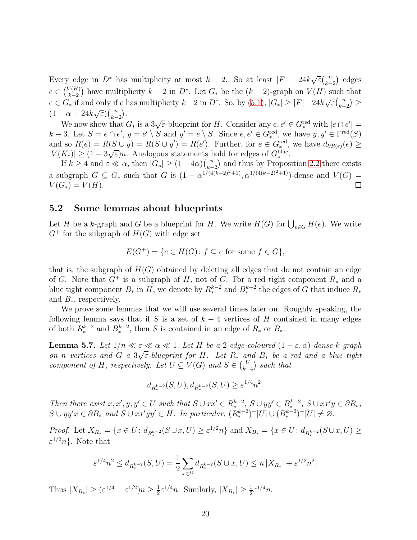Every edge in  $D^*$  has multiplicity at most  $k-2$ . So at least  $|F| - 24k\sqrt{\varepsilon} {n \choose k-2}$  $k-2$  edges  $e \in {V(H) \choose k-2}$  $k-2$ ) have multiplicity  $k - 2$  in  $D^*$ . Let  $G_*$  be the  $(k - 2)$ -graph on  $V(H)$  such that  $e \in G_*$  if and only if e has multiplicity  $k-2$  in  $D^*$ . So, by  $(5.1)$ ,  $|G_*| \geq |F|-24k\sqrt{\varepsilon} {n \choose k-2}$  $k-2$  $\geq$  $(1 - \alpha - 24k\sqrt{\varepsilon})\binom{n}{k-1}$  $\frac{k-2}{2}$ .

We now show that  $G_*$  is a  $3\sqrt{\varepsilon}$ -blueprint for H. Consider any  $e, e' \in G_*^{\text{red}}$  with  $|e \cap e'| =$  $k-3$ . Let  $S = e \cap e'$ ,  $y = e' \setminus S$  and  $y' = e \setminus S$ . Since  $e, e' \in G_*^{\text{red}}$ , we have  $y, y' \in \Gamma^{\text{red}}(S)$ and so  $R(e) = R(S \cup y) = R(S \cup y') = R(e')$ . Further, for  $e \in G_*^{\text{red}}$ , we have  $d_{\partial R(e)}(e) \ge$  $|V(K_e)| \geq (1 - 3\sqrt{\varepsilon})n$ . Analogous statements hold for edges of  $G_*^{\text{blue}}$ .

If  $k \geq 4$  and  $\varepsilon \ll \alpha$ , then  $|G_*| \geq (1-4\alpha)\binom{n}{k-2}$  and thus by Prop and thus by Proposition [2.2](#page-4-1) there exists  $k-2$ a subgraph  $G \subseteq G_*$  such that G is  $(1 - \alpha^{1/(4(k-2)^2+1)}, \alpha^{1/(4(k-2)^2+1)})$ -dense and  $V(G) =$  $V(G_*) = V(H).$  $\Box$ 

### 5.2 Some lemmas about blueprints

Let H be a k-graph and G be a blueprint for H. We write  $H(G)$  for  $\bigcup_{e \in G} H(e)$ . We write  $G^+$  for the subgraph of  $H(G)$  with edge set

$$
E(G^+) = \{ e \in H(G) \colon f \subseteq e \text{ for some } f \in G \},
$$

that is, the subgraph of  $H(G)$  obtained by deleting all edges that do not contain an edge of G. Note that  $G^+$  is a subgraph of H, not of G. For a red tight component  $R_*$  and a blue tight component  $B_*$  in H, we denote by  $R_*^{k-2}$  and  $B_*^{k-2}$  the edges of G that induce  $R_*$ and  $B_*$ , respectively.

We prove some lemmas that we will use several times later on. Roughly speaking, the following lemma says that if S is a set of  $k-4$  vertices of H contained in many edges of both  $R_*^{k-2}$  and  $B_*^{k-2}$ , then S is contained in an edge of  $R_*$  or  $B_*$ .

<span id="page-19-0"></span>**Lemma 5.7.** *Let*  $1/n \ll \varepsilon \ll \alpha \ll 1$ *. Let H be a* 2*-edge-coloured*  $(1 - \varepsilon, \alpha)$ *-dense k-graph on n vertices* and  $G$  *a*  $3\sqrt{\varepsilon}$ -blueprint for H. Let  $R_*$  and  $B_*$  be a red and a blue tight *component of*  $H$ *, respectively. Let*  $U \subseteq V(G)$  *and*  $S \in {U \choose k-1}$  $k-4$ *such that*

$$
d_{R_*^{k-2}}(S, U), d_{B_*^{k-2}}(S, U) \ge \varepsilon^{1/4} n^2.
$$

*Then there exist*  $x, x', y, y' \in U$  *such that*  $S \cup xx' \in R^{k-2}_*, S \cup yy' \in B^{k-2}_*, S \cup xx'y \in \partial R_*,$  $S \cup yy'x \in \partial B_*$  and  $S \cup xx'yy' \in H$ . In particular,  $(R_*^{k-2})^+[U] \cup (B_*^{k-2})^+[U] \neq \emptyset$ .

*Proof.* Let  $X_{R_*} = \{x \in U : d_{R_*^{k-2}}(S \cup x, U) \ge \varepsilon^{1/2} n\}$  and  $X_{B_*} = \{x \in U : d_{B_*^{k-2}}(S \cup x, U) \ge \varepsilon^{1/2} n\}$  $\varepsilon^{1/2} n$ . Note that

$$
\varepsilon^{1/4} n^2 \le d_{R_*^{k-2}}(S, U) = \frac{1}{2} \sum_{x \in U} d_{R_*^{k-2}}(S \cup x, U) \le n |X_{R_*}| + \varepsilon^{1/2} n^2.
$$

Thus  $|X_{R_*}| \geq (\varepsilon^{1/4} - \varepsilon^{1/2})n \geq \frac{1}{2}$  $\frac{1}{2}\varepsilon^{1/4}n$ . Similarly,  $|X_{B_*}| \geq \frac{1}{2}\varepsilon^{1/4}n$ .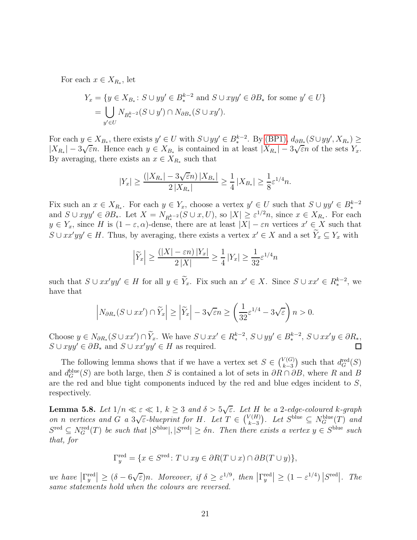For each  $x \in X_{R_*}$ , let

$$
Y_x = \{ y \in X_{B_*}: S \cup yy' \in B_*^{k-2} \text{ and } S \cup xyy' \in \partial B_* \text{ for some } y' \in U \}
$$
  
= 
$$
\bigcup_{y' \in U} N_{B_*^{k-2}}(S \cup y') \cap N_{\partial B_*}(S \cup xy').
$$

For each  $y \in X_{B_*}$ , there exists  $y' \in U$  with  $S \cup yy' \in B_*^{k-2}$ . By [\(BP1\),](#page-16-3)  $d_{\partial B_*}(S \cup yy', X_{R_*}) \ge$  $|X_{R_*}| - 3\sqrt{\varepsilon}n$ . Hence each  $y \in X_{B_*}$  is contained in at least  $|X_{R_*}| - 3\sqrt{\varepsilon}n$  of the sets  $Y_x$ . By averaging, there exists an  $x \in X_{R_*}$  such that

$$
|Y_x| \ge \frac{(|X_{R_*}| - 3\sqrt{\varepsilon}n) \, |X_{B_*}|}{2\, |X_{R_*}|} \ge \frac{1}{4} \, |X_{B_*}| \ge \frac{1}{8}\varepsilon^{1/4}n.
$$

Fix such an  $x \in X_{R_*}$ . For each  $y \in Y_x$ , choose a vertex  $y' \in U$  such that  $S \cup yy' \in B_*^{k-2}$ and  $S \cup xyy' \in \partial B_*$ . Let  $X = N_{R_*^{k-2}}(S \cup x, U)$ , so  $|X| \geq \varepsilon^{1/2}n$ , since  $x \in X_{R_*}$ . For each  $y \in Y_x$ , since H is  $(1 - \varepsilon, \alpha)$ -dense, there are at least  $|X| - \varepsilon n$  vertices  $x' \in X$  such that  $S \cup xx'yy' \in H$ . Thus, by averaging, there exists a vertex  $x' \in X$  and a set  $Y_x \subseteq Y_x$  with

$$
\left|\widetilde{Y}_x\right| \ge \frac{(|X| - \varepsilon n) |Y_x|}{2 |X|} \ge \frac{1}{4} |Y_x| \ge \frac{1}{32} \varepsilon^{1/4} n
$$

such that  $S \cup xx'yy' \in H$  for all  $y \in Y_x$ . Fix such an  $x' \in X$ . Since  $S \cup xx' \in R_*^{k-2}$ , we have that

$$
\left|N_{\partial R_*}(S \cup xx') \cap \widetilde{Y}_x\right| \ge \left|\widetilde{Y}_x\right| - 3\sqrt{\varepsilon}n \ge \left(\frac{1}{32}\varepsilon^{1/4} - 3\sqrt{\varepsilon}\right)n > 0.
$$

Choose  $y \in N_{\partial R_*}(S \cup xx') \cap Y_x$ . We have  $S \cup xx' \in R_*^{k-2}$ ,  $S \cup yy' \in B_*^{k-2}$ ,  $S \cup xx'y \in \partial R_*$ .  $S \cup xyy' \in \partial B_*$  and  $S \cup xx'yy' \in H$  as required.

The following lemma shows that if we have a vertex set  $S \in \binom{V(G)}{k-3}$  $k-3$ ) such that  $d_G^{\text{red}}(S)$ and  $d_G^{\text{blue}}(S)$  are both large, then S is contained a lot of sets in  $\partial R \cap \partial B$ , where R and B are the red and blue tight components induced by the red and blue edges incident to S, respectively.

<span id="page-20-0"></span>**Lemma 5.8.** Let  $1/n \ll \varepsilon \ll 1$ ,  $k \geq 3$  and  $\delta > 5\sqrt{\varepsilon}$ . Let H be a 2-edge-coloured k-graph *on n vertices* and  $G$  *a*  $3\sqrt{\varepsilon}$ -blueprint for H. Let  $T \in \binom{V(H)}{k-3}$  $k-3$  $\big)$ *. Let*  $S^{\text{blue}} \subseteq N_G^{\text{blue}}(T)$  *and*  $S^{\text{red}} \subseteq N_G^{\text{red}}(T)$  *be such that*  $|S^{\text{blue}}|, |S^{\text{red}}| \ge \delta n$ . Then there exists a vertex  $y \in S^{\text{blue}}$  such *that, for*

$$
\Gamma_y^{\text{red}} = \{ x \in S^{\text{red}} \colon T \cup xy \in \partial R(T \cup x) \cap \partial B(T \cup y) \},
$$

 $\mathbb{E}\left[\left.\int_{0}^{\text{red}}\right|\right] \geq (\delta - 6\sqrt{\varepsilon})n$ . Moreover, if  $\delta \geq \varepsilon^{1/9}$ , then  $\left|\Gamma_{y}^{\text{red}}\right| \geq (1-\varepsilon^{1/4})\left|S^{\text{red}}\right|$ . The *same statements hold when the colours are reversed.*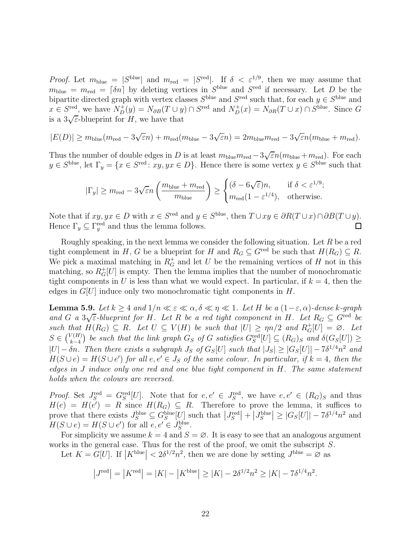*Proof.* Let  $m_{\text{blue}} = |S^{\text{blue}}|$  and  $m_{\text{red}} = |S^{\text{red}}|$ . If  $\delta < \varepsilon^{1/9}$ , then we may assume that  $m_{\text{blue}} = m_{\text{red}} = [\delta n]$  by deleting vertices in  $S^{\text{blue}}$  and  $S^{\text{red}}$  if necessary. Let D be the bipartite directed graph with vertex classes  $S^{\text{blue}}$  and  $S^{\text{red}}$  such that, for each  $y \in S^{\text{blue}}$  and  $x \in S^{\text{red}}$ , we have  $N_D^+(y) = N_{\partial B}(T \cup y) \cap S^{\text{red}}$  and  $N_D^+(x) = N_{\partial R}(T \cup x) \cap S^{\text{blue}}$ . Since G is a  $3\sqrt{\varepsilon}$ -blueprint for H, we have that

$$
|E(D)| \ge m_{blue}(m_{red} - 3\sqrt{\varepsilon}n) + m_{red}(m_{blue} - 3\sqrt{\varepsilon}n) = 2m_{blue}m_{red} - 3\sqrt{\varepsilon}n(m_{blue} + m_{red}).
$$

Thus the number of double edges in D is at least  $m_{blue}m_{red} - 3\sqrt{\varepsilon}n(m_{blue} + m_{red})$ . For each  $y \in S^{\text{blue}}$ , let  $\Gamma_y = \{x \in S^{\text{red}} : xy, yx \in D\}$ . Hence there is some vertex  $y \in S^{\text{blue}}$  such that

$$
|\Gamma_y| \ge m_{\text{red}} - 3\sqrt{\varepsilon}n \left(\frac{m_{\text{blue}} + m_{\text{red}}}{m_{\text{blue}}}\right) \ge \begin{cases} (\delta - 6\sqrt{\varepsilon})n, & \text{if } \delta < \varepsilon^{1/9}; \\ m_{\text{red}}(1 - \varepsilon^{1/4}), & \text{otherwise}. \end{cases}
$$

Note that if  $xy, yx \in D$  with  $x \in S^{\text{red}}$  and  $y \in S^{\text{blue}}$ , then  $T \cup xy \in \partial R(T \cup x) \cap \partial B(T \cup y)$ . Hence  $\Gamma_y \subseteq \Gamma_y^{\text{red}}$  and thus the lemma follows.

Roughly speaking, in the next lemma we consider the following situation. Let  $R$  be a red tight complement in H, G be a blueprint for H and  $R_G \subseteq G^{\text{red}}$  be such that  $H(R_G) \subseteq R$ . We pick a maximal matching in  $R_G^+$  and let U be the remaining vertices of H not in this matching, so  $R_G^+[U]$  is empty. Then the lemma implies that the number of monochromatic tight components in U is less than what we would expect. In particular, if  $k = 4$ , then the edges in  $G[U]$  induce only two monochromatic tight components in  $H$ .

<span id="page-21-0"></span>**Lemma 5.9.** *Let*  $k \geq 4$  *and*  $1/n \ll \varepsilon \ll \alpha, \delta \ll \eta \ll 1$ *. Let* H *be a* (1- $\varepsilon, \alpha$ )-dense k-graph and G *a*  $3\sqrt{\varepsilon}$ -blueprint for H. Let R be a red tight component in H. Let  $R_G \subseteq G^{\text{red}}$  be such that  $H(R_G) \subseteq R$ . Let  $U \subseteq V(H)$  be such that  $|U| \ge \eta n/2$  and  $R_G^+[U] = \emptyset$ . Let  $S \in {V(H) \choose k-4}$  $\frac{k-4}{2}$ *be such that the link graph*  $G_S$  *of* G *satisfies*  $G_S^{\text{red}}[U] \subseteq (R_G)_S$  *and*  $\delta(G_S[U]) \ge$  $|U| - \delta n$ . Then there exists a subgraph  $J_S$  of  $G_S[U]$  such that  $|J_S| \geq |G_S[U]| - 7\delta^{1/4}n^2$  and  $H(S \cup e) = H(S \cup e')$  for all  $e, e' \in J_S$  of the same colour. In particular, if  $k = 4$ , then the *edges in* J *induce only one red and one blue tight component in* H*. The same statement holds when the colours are reversed.*

*Proof.* Set  $J_S^{\text{red}} = G_S^{\text{red}}[U]$ . Note that for  $e, e' \in J_S^{\text{red}}$ , we have  $e, e' \in (R_G)_S$  and thus  $H(e) = H(e') = R$  since  $H(R_G) \subseteq R$ . Therefore to prove the lemma, it suffices to prove that there exists  $J_S^{\text{blue}} \subseteq G_S^{\text{blue}}[U]$  such that  $|J_S^{\text{red}}| + |J_S^{\text{blue}}| \geq |G_S[U]| - 7\delta^{1/4}n^2$  and  $H(S \cup e) = H(S \cup e')$  for all  $e, e' \in J_S^{\text{blue}}$ .

For simplicity we assume  $k = 4$  and  $S = \emptyset$ . It is easy to see that an analogous argument works in the general case. Thus for the rest of the proof, we omit the subscript S.

Let  $K = \tilde{G}[U]$ . If  $|K^{\text{blue}}| < 2\delta^{1/2}n^2$ , then we are done by setting  $J^{\text{blue}} = \tilde{\emptyset}$  as

$$
|J^{\text{red}}| = |K^{\text{red}}| = |K| - |K^{\text{blue}}| \ge |K| - 2\delta^{1/2} n^2 \ge |K| - 7\delta^{1/4} n^2.
$$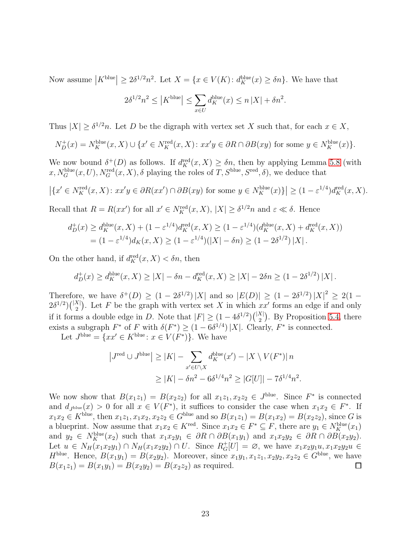Now assume  $|K^{\text{blue}}| \geq 2\delta^{1/2}n^2$ . Let  $X = \{x \in V(K): d_K^{\text{blue}}(x) \geq \delta n\}$ . We have that

$$
2\delta^{1/2}n^2 \le |K^{\text{blue}}| \le \sum_{x \in U} d_K^{\text{blue}}(x) \le n |X| + \delta n^2.
$$

Thus  $|X| \geq \delta^{1/2}n$ . Let D be the digraph with vertex set X such that, for each  $x \in X$ ,

$$
N_D^+(x) = N_K^{\text{blue}}(x, X) \cup \{x' \in N_K^{\text{red}}(x, X) : xx'y \in \partial R \cap \partial B(xy) \text{ for some } y \in N_K^{\text{blue}}(x)\}.
$$

We now bound  $\delta^+(D)$  as follows. If  $d_K^{\text{red}}(x, X) \ge \delta n$ , then by applying Lemma [5.8](#page-20-0) (with  $x, N_G^{\text{blue}}(x, U), N_G^{\text{red}}(x, X), \delta$  playing the roles of  $T, S^{\text{blue}}, S^{\text{red}}, \delta)$ , we deduce that

$$
\left| \{ x' \in N_K^{\text{red}}(x, X) \colon xx'y \in \partial R(xx') \cap \partial B(xy) \text{ for some } y \in N_K^{\text{blue}}(x) \} \right| \ge (1 - \varepsilon^{1/4}) d_K^{\text{red}}(x, X).
$$

Recall that  $R = R(xx')$  for all  $x' \in N_K^{\text{red}}(x, X)$ ,  $|X| \geq \delta^{1/2} n$  and  $\varepsilon \ll \delta$ . Hence

$$
d_D^+(x) \ge d_K^{\text{blue}}(x, X) + (1 - \varepsilon^{1/4}) d_K^{\text{red}}(x, X) \ge (1 - \varepsilon^{1/4}) (d_K^{\text{blue}}(x, X) + d_K^{\text{red}}(x, X))
$$
  
=  $(1 - \varepsilon^{1/4}) d_K(x, X) \ge (1 - \varepsilon^{1/4}) (|X| - \delta n) \ge (1 - 2\delta^{1/2}) |X|.$ 

On the other hand, if  $d_K^{\text{red}}(x, X) < \delta n$ , then

$$
d_D^+(x) \ge d_K^{\text{blue}}(x, X) \ge |X| - \delta n - d_K^{\text{red}}(x, X) \ge |X| - 2\delta n \ge (1 - 2\delta^{1/2}) |X|.
$$

Therefore, we have  $\delta^+(D) \ge (1 - 2\delta^{1/2}) |X|$  and so  $|E(D)| \ge (1 - 2\delta^{1/2}) |X|^2 \ge 2(1 - 2\delta^{1/2})$  $2\delta^{1/2}$  $\binom{|X|}{2}$ . Let F be the graph with vertex set X in which xx' forms an edge if and only if it forms a double edge in D. Note that  $|F| \geq (1 - 4\delta^{1/2}) {|\mathcal{X}| \choose 2}$ . By Proposition [5.4,](#page-17-0) there exists a subgraph  $F^*$  of F with  $\delta(F^*) \ge (1 - 6\delta^{1/4}) |X|$ . Clearly,  $F^*$  is connected.

Let  $J^{\text{blue}} = \{xx' \in K^{\text{blue}} : x \in V(F^*)\}$ . We have

$$
|J^{\text{red}} \cup J^{\text{blue}}| \ge |K| - \sum_{x' \in U \backslash X} d_K^{\text{blue}}(x') - |X \setminus V(F^*)| n
$$
  

$$
\ge |K| - \delta n^2 - 6\delta^{1/4} n^2 \ge |G[U]| - 7\delta^{1/4} n^2.
$$

We now show that  $B(x_1z_1) = B(x_2z_2)$  for all  $x_1z_1, x_2z_2 \in J^{\text{blue}}$ . Since  $F^*$  is connected and  $d_{J^{\text{blue}}}(x) > 0$  for all  $x \in V(F^*)$ , it suffices to consider the case when  $x_1x_2 \in F^*$ . If  $x_1x_2 \in K^{\text{blue}}$ , then  $x_1z_1, x_1x_2, x_2z_2 \in G^{\text{blue}}$  and so  $B(x_1z_1) = B(x_1x_2) = B(x_2z_2)$ , since G is a blueprint. Now assume that  $x_1x_2 \in K^{\text{red}}$ . Since  $x_1x_2 \in F^* \subseteq F$ , there are  $y_1 \in N_K^{\text{blue}}(x_1)$ and  $y_2 \in N_K^{\text{blue}}(x_2)$  such that  $x_1x_2y_1 \in \partial R \cap \partial B(x_1y_1)$  and  $x_1x_2y_2 \in \partial R \cap \partial B(x_2y_2)$ . Let  $u \in N_H(x_1x_2y_1) \cap N_H(x_1x_2y_2) \cap U$ . Since  $R_G^+[U] = \emptyset$ , we have  $x_1x_2y_1u, x_1x_2y_2u \in$  $H^{\text{blue}}$ . Hence,  $B(x_1y_1) = B(x_2y_2)$ . Moreover, since  $x_1y_1, x_1z_1, x_2y_2, x_2z_2 \in G^{\text{blue}}$ , we have  $B(x_1z_1) = B(x_1y_1) = B(x_2y_2) = B(x_2z_2)$  as required.  $B(x_1z_1) = B(x_1y_1) = B(x_2y_2) = B(x_2z_2)$  as required.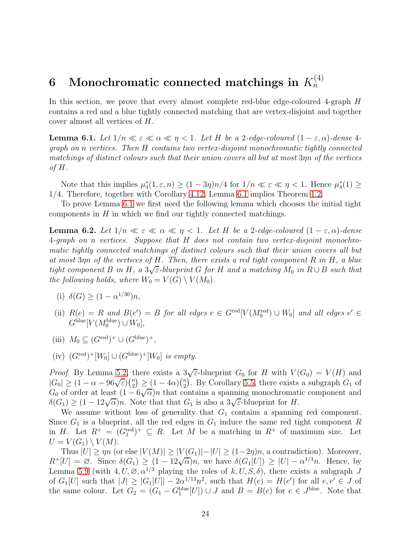### <span id="page-23-0"></span> $6$  Monochromatic connected matchings in  $K_n^{(4)}$  $\dot{n}$

<span id="page-23-1"></span>In this section, we prove that every almost complete red-blue edge-coloured 4-graph H contains a red and a blue tightly connected matching that are vertex-disjoint and together cover almost all vertices of H.

**Lemma 6.1.** Let  $1/n \ll \varepsilon \ll \alpha \ll \eta < 1$ . Let H be a 2-edge-coloured  $(1 - \varepsilon, \alpha)$ -dense 4*graph on* n *vertices. Then* H *contains two vertex-disjoint monochromatic tightly connected matchings of distinct colours such that their union covers all but at most* 3ηn *of the vertices of* H*.*

Note that this implies  $\mu_4^*(1, \varepsilon, n) \ge (1 - 3\eta)n/4$  for  $1/n \ll \varepsilon \ll \eta < 1$ . Hence  $\mu_4^*(1) \ge$ 1/4. Therefore, together with Corollary [4.12,](#page-14-0) Lemma [6.1](#page-23-1) implies Theorem [1.2.](#page-1-0)

<span id="page-23-6"></span>To prove Lemma [6.1](#page-23-1) we first need the following lemma which chooses the initial tight components in  $H$  in which we find our tightly connected matchings.

**Lemma 6.2.** Let  $1/n \ll \varepsilon \ll \alpha \ll \eta \ll 1$ . Let H be a 2-edge-coloured  $(1 - \varepsilon, \alpha)$ -dense 4*-graph on* n *vertices. Suppose that* H *does not contain two vertex-disjoint monochromatic tightly connected matchings of distinct colours such that their union covers all but at most* 3ηn *of the vertices of* H*. Then, there exists a red tight component* R *in* H*, a blue*  $tight$  component  $B$  *in*  $H$ , a  $3\sqrt{\varepsilon}$ -blueprint  $G$  *for*  $H$  *and a matching*  $M_0$  *in*  $R \cup B$  *such that the following holds, where*  $W_0 = V(G) \setminus V(M_0)$ *.* 

- <span id="page-23-3"></span><span id="page-23-2"></span>(i)  $\delta(G) \ge (1 - \alpha^{1/30})n$ ,
- (ii)  $R(e) = R$  *and*  $B(e') = B$  *for all edges*  $e \in G^{\text{red}}[V(M_0^{\text{red}}) \cup W_0]$  *and all edges*  $e' \in G^{\text{red}}[V(M_0^{\text{red}}) \cup W_0]$  $G^{\text{blue}}[V(M_0^{\text{blue}}) \cup W_0],$
- <span id="page-23-5"></span><span id="page-23-4"></span>(iii)  $M_0 \subseteq (G^{\text{red}})^+ \cup (G^{\text{blue}})^+,$
- $(iv)$   $(G^{\text{red}})^+[W_0] \cup (G^{\text{blue}})^+[W_0]$  *is empty.*

*Proof.* By Lemma [5.2,](#page-16-1) there exists a  $3\sqrt{\varepsilon}$ -blueprint  $G_0$  for H with  $V(G_0) = V(H)$  and  $|G_0| \geq (1 - \alpha - 96\sqrt{\varepsilon})\binom{n}{2}$  $\binom{n}{2} \geq (1-4\alpha)\binom{n}{2}$  $\binom{n}{2}$ . By Corollary [5.5,](#page-17-1) there exists a subgraph  $G_1$  of  $G_0$  of order at least  $(1-6\sqrt{\alpha})n$  that contains a spanning monochromatic component and  $\delta(G_1) \geq (1 - 12\sqrt{\alpha})n$ . Note that that  $G_1$  is also a  $3\sqrt{\varepsilon}$ -blueprint for H.

We assume without loss of generality that  $G_1$  contains a spanning red component. Since  $G_1$  is a blueprint, all the red edges in  $G_1$  induce the same red tight component R in H. Let  $R^+ = (G_1^{\text{red}})^+ \subseteq R$ . Let M be a matching in  $R^+$  of maximum size. Let  $U = V(G_1) \setminus V(M).$ 

Thus  $|U| \ge \eta n$  (or else  $|V(M)| \ge |V(G_1)| - |U| \ge (1-2\eta)n$ , a contradiction). Moreover,  $R^+[U] = \emptyset$ . Since  $\delta(G_1) \geq (1-12\sqrt{\alpha})n$ , we have  $\delta(G_1[U]) \geq |U| - \alpha^{1/3}n$ . Hence, by Lemma [5.9](#page-21-0) (with  $4, U, \emptyset, \alpha^{1/3}$  playing the roles of  $k, U, S, \delta$ ), there exists a subgraph J of  $G_1[U]$  such that  $|J| \geq |G_1[U]| - 2\alpha^{1/13}n^2$ , such that  $H(e) = H(e')$  for all  $e, e' \in J$  of the same colour. Let  $G_2 = (G_1 - G_1^{\text{blue}}[U]) \cup J$  and  $B = B(e)$  for  $e \in J^{\text{blue}}$ . Note that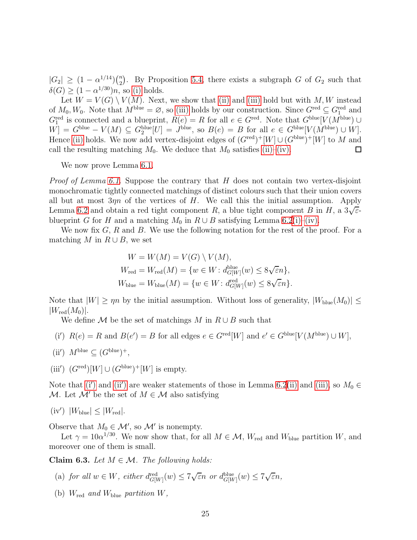$|G_2| \geq (1 - \alpha^{1/14})\binom{n}{2}$  $\binom{n}{2}$ . By Proposition [5.4,](#page-17-0) there exists a subgraph G of  $G_2$  such that  $\delta(G) \ge (1 - \alpha^{1/30})n$ , so [\(i\)](#page-23-2) holds.

Let  $W = V(G) \setminus V(M)$ . Next, we show that [\(ii\)](#page-23-3) and [\(iii\)](#page-23-4) hold but with M, W instead of  $M_0, W_0$ . Note that  $M^{\text{blue}} = \varnothing$ , so [\(iii\)](#page-23-4) holds by our construction. Since  $G^{\text{red}} \subseteq G^{\text{red}}_1$  and  $G_{1}^{\text{red}}$  is connected and a blueprint,  $R(e) = R$  for all  $e \in G^{\text{red}}$ . Note that  $G^{\text{blue}}[V(M^{\text{blue}}) \cup$  $[W] = G^{\text{blue}} - V(M) \subseteq G_2^{\text{blue}}[U] = J^{\text{blue}}$ , so  $B(e) = B$  for all  $e \in G^{\text{blue}}[V(M^{\text{blue}}) \cup W]$ . Hence [\(ii\)](#page-23-3) holds. We now add vertex-disjoint edges of  $(G<sup>red</sup>)<sup>+</sup>[W] \cup (G<sup>blue</sup>)<sup>+</sup>[W]$  to M and call the resulting matching  $M_0$ . We deduce that  $M_0$  satisfies [\(ii\)–](#page-23-3)[\(iv\).](#page-23-5)  $\Box$ 

We now prove Lemma [6.1.](#page-23-1)

*Proof of Lemma [6.1.](#page-23-1)* Suppose the contrary that H does not contain two vertex-disjoint monochromatic tightly connected matchings of distinct colours such that their union covers all but at most  $3\eta n$  of the vertices of H. We call this the initial assumption. Apply Lemma [6.2](#page-23-6) and obtain a red tight component R, a blue tight component B in H, a  $3\sqrt{\varepsilon}$ blueprint G for H and a matching  $M_0$  in  $R \cup B$  satisfying Lemma [6.2](#page-23-6)[\(i\)](#page-23-2)[–\(iv\).](#page-23-5)

We now fix  $G, R$  and  $B$ . We use the following notation for the rest of the proof. For a matching M in  $R \cup B$ , we set

$$
W = W(M) = V(G) \setminus V(M),
$$
  
\n
$$
W_{\text{red}} = W_{\text{red}}(M) = \{w \in W : d_{G[W]}^{\text{blue}}(w) \le 8\sqrt{\varepsilon}n\},
$$
  
\n
$$
W_{\text{blue}} = W_{\text{blue}}(M) = \{w \in W : d_{G[W]}^{\text{red}}(w) \le 8\sqrt{\varepsilon}n\}.
$$

Note that  $|W| \ge \eta n$  by the initial assumption. Without loss of generality,  $|W_{blue}(M_0)| \le$  $|W_{\rm red}(M_0)|.$ 

<span id="page-24-0"></span>We define  $\mathcal M$  be the set of matchings  $M$  in  $R \cup B$  such that

<span id="page-24-1"></span>(i') 
$$
R(e) = R
$$
 and  $B(e') = B$  for all edges  $e \in G^{\text{red}}[W]$  and  $e' \in G^{\text{blue}}[V(M^{\text{blue}}) \cup W]$ ,

<span id="page-24-2"></span>(ii') 
$$
M^{\text{blue}} \subseteq (G^{\text{blue}})^+,
$$

(iii')  $(G^{\text{red}})[W] \cup (G^{\text{blue}})^+[W]$  is empty.

<span id="page-24-6"></span>Note that [\(i](#page-24-0)') and [\(ii](#page-24-1)') are weaker statements of those in Lemma [6.2](#page-23-6)[\(ii\)](#page-23-3) and [\(iii\),](#page-23-4) so  $M_0 \in$ M. Let M' be the set of  $M \in \mathcal{M}$  also satisfying

$$
(iv') |W_{\text{blue}}| \leq |W_{\text{red}}|.
$$

Observe that  $M_0 \in \mathcal{M}'$ , so  $\mathcal{M}'$  is nonempty.

<span id="page-24-5"></span>Let  $\gamma = 10\alpha^{1/30}$ . We now show that, for all  $M \in \mathcal{M}$ ,  $W_{\text{red}}$  and  $W_{\text{blue}}$  partition W, and moreover one of them is small.

<span id="page-24-3"></span>Claim 6.3. Let  $M \in \mathcal{M}$ . The following holds:

- <span id="page-24-4"></span>(a) *for all*  $w \in W$ *, either*  $d_{G[W]}^{\text{red}}(w) \leq 7\sqrt{\varepsilon}n$  *or*  $d_{G[W]}^{\text{blue}}(w) \leq 7\sqrt{\varepsilon}n$ *,*
- (b)  $W_{\text{red}}$  *and*  $W_{\text{blue}}$  *partition*  $W$ ,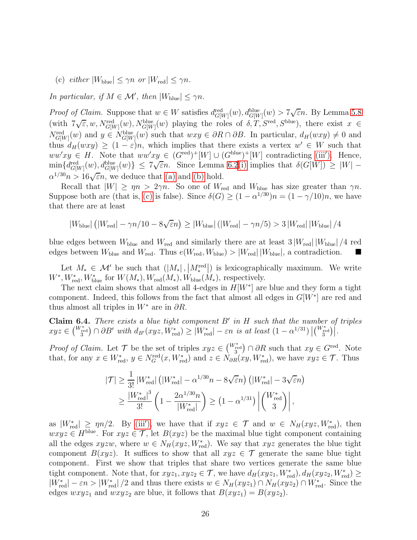<span id="page-25-0"></span>(c)  $\text{either } |W_{\text{blue}}| \leq \gamma n \text{ or } |W_{\text{red}}| \leq \gamma n.$ 

*In particular, if*  $M \in \mathcal{M}'$ *, then*  $|W_{\text{blue}}| \leq \gamma n$ *.* 

*Proof of Claim.* Suppose that  $w \in W$  satisfies  $d_{G[W]}^{\text{red}}(w)$ ,  $d_{G[W]}^{\text{blue}}(w) > 7\sqrt{\varepsilon}n$ . By Lemma [5.8](#page-20-0)  $(\text{with } 7\sqrt{\varepsilon}, w, N_{G[W]}^{\text{red}}(w), N_{G[W]}^{\text{blue}}(w)$  playing the roles of  $\delta, T, S^{\text{red}}, S^{\text{blue}})$ , there exist  $x \in$  $N_{G[W]}^{\text{red}}(w)$  and  $y \in N_{G[W]}^{\text{blue}}(w)$  such that  $wxy \in \partial R \cap \partial B$ . In particular,  $d_H(wxy) \neq 0$  and thus  $d_H(wxy) \geq (1-\varepsilon)n$ , which implies that there exists a vertex  $w' \in W$  such that  $ww'xy \in H$ . Note that  $ww'xy \in (G^{\text{red}})^+[W] \cup (G^{\text{blue}})^+[W]$  contradicting [\(iii](#page-24-2)'). Hence,  $\min\{d_{G[W]}^{\text{red}}(w), d_{G[W]}^{\text{blue}}(w)\} \le 7\sqrt{\varepsilon}n.$  Since Lemma [6.2](#page-23-6)[\(i\)](#page-23-2) implies that  $\delta(G[W]) \ge |W| \alpha^{1/30}n > 16\sqrt{\varepsilon}n$ , we deduce that [\(a\)](#page-24-3) and [\(b\)](#page-24-4) hold.

Recall that  $|W| \ge \eta n > 2\gamma n$ . So one of  $W_{\text{red}}$  and  $W_{\text{blue}}$  has size greater than  $\gamma n$ . Suppose both are (that is, [\(c\)](#page-25-0) is false). Since  $\delta(G) \geq (1 - \alpha^{1/30})n = (1 - \gamma/10)n$ , we have that there are at least

 $|W_{\text{blue}}|$   $\left(|W_{\text{red}}| - \gamma n/10 - 8\sqrt{\varepsilon}n\right) \ge |W_{\text{blue}}|$   $\left(|W_{\text{red}}| - \gamma n/5\right) > 3\left|W_{\text{red}}\right| |W_{\text{blue}}|/4$ 

blue edges between  $W_{\text{blue}}$  and  $W_{\text{red}}$  and similarly there are at least  $3|W_{\text{red}}|/W_{\text{blue}}|/4$  red edges between  $W_{\text{blue}}$  and  $W_{\text{red}}$ . Thus  $e(W_{\text{red}}, W_{\text{blue}}) > |W_{\text{red}}| |W_{\text{blue}}|$ , a contradiction.

Let  $M_* \in \mathcal{M}'$  be such that  $(|M_*|, |M_*^{\text{red}}|)$  is lexicographically maximum. We write  $W^*, W^*_{\text{red}}, W^*_{\text{blue}}$  for  $W(M_*), W_{\text{red}}(M_*), W_{\text{blue}}(M_*),$  respectively.

The next claim shows that almost all 4-edges in  $H[W^*]$  are blue and they form a tight component. Indeed, this follows from the fact that almost all edges in  $G[W^*]$  are red and thus almost all triples in  $W^*$  are in  $\partial R$ .

<span id="page-25-1"></span>Claim 6.4. *There exists a blue tight component* B′ *in* H *such that the number of triples*  $xyz \in {W_{\text{red}}^{*}} \cap \partial B'$  *with*  $d_{B'}(xyz, \tilde{W}_{\text{red}}^{*}) \geq |W_{\text{red}}^{*}| - \varepsilon n$  is at least  $(1 - \alpha^{1/31}) |{W_{\text{red}}^{*}}|$ .

*Proof of Claim.* Let  $\mathcal{T}$  be the set of triples  $xyz \in \binom{W^*_{\text{red}}}{3} \cap \partial R$  such that  $xy \in G^{\text{red}}$ . Note that, for any  $x \in W^*_{red}$ ,  $y \in N_G^{\text{red}}(x, W^*_{red})$  and  $z \in N_{\partial R}(xy, W^*_{red})$ , we have  $xyz \in \mathcal{T}$ . Thus

$$
|\mathcal{T}| \geq \frac{1}{3!} |W^*_{\text{red}}| \left( |W^*_{\text{red}}| - \alpha^{1/30} n - 8\sqrt{\varepsilon} n \right) \left( |W^*_{\text{red}}| - 3\sqrt{\varepsilon} n \right) \geq \frac{|W^*_{\text{red}}|^3}{3!} \left( 1 - \frac{2\alpha^{1/30} n}{|W^*_{\text{red}}|} \right) \geq \left( 1 - \alpha^{1/31} \right) \left| \binom{W^*_{\text{red}}}{3} \right|,
$$

as  $|W^*_{\text{red}}| \ge \eta n/2$ . By [\(iii](#page-24-2)'), we have that if  $xyz \in \mathcal{T}$  and  $w \in N_H(xyz, W^*_{\text{red}})$ , then  $wxyz \in H^{\text{blue}}$ . For  $xyz \in \mathcal{T}$ , let  $B(xyz)$  be the maximal blue tight component containing all the edges  $xyzw$ , where  $w \in N_H(xyz, W^*_{\text{red}})$ . We say that  $xyz$  generates the blue tight component  $B(xyz)$ . It suffices to show that all  $xyz \in \mathcal{T}$  generate the same blue tight component. First we show that triples that share two vertices generate the same blue tight component. Note that, for  $xyz_1, xyz_2 \in \mathcal{T}$ , we have  $d_H(xyz_1, W^*_{\text{red}}), d_H(xyz_2, W^*_{\text{red}}) \ge$  $|W^*_{\text{red}}| - \varepsilon n > |W^*_{\text{red}}|/2$  and thus there exists  $w \in N_H(xyz_1) \cap N_H(xyz_2) \cap W^*_{\text{red}}$ . Since the edges  $wxyz_1$  and  $wxyz_2$  are blue, it follows that  $B(xyz_1) = B(xyz_2)$ .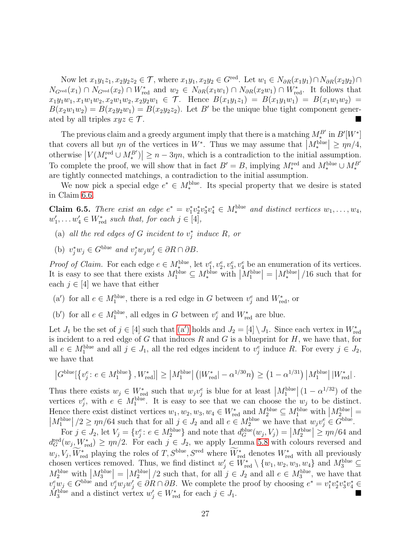Now let  $x_1y_1z_1, x_2y_2z_2 \in \mathcal{T}$ , where  $x_1y_1, x_2y_2 \in G^{\text{red}}$ . Let  $w_1 \in N_{\partial R}(x_1y_1) \cap N_{\partial R}(x_2y_2) \cap$  $N_{G^{\text{red}}}(x_1) \cap N_{G^{\text{red}}}(x_2) \cap W^*_{\text{red}}$  and  $w_2 \in N_{\partial R}(x_1w_1) \cap N_{\partial R}(x_2w_1) \cap W^*_{\text{red}}$ . It follows that  $x_1y_1w_1, x_1w_1w_2, x_2w_1w_2, x_2y_2w_1 \in \mathcal{T}$ . Hence  $B(x_1y_1z_1) = B(x_1y_1w_1) = B(x_1w_1w_2) =$  $B(x_2w_1w_2) = B(x_2y_2w_1) = B(x_2y_2z_2)$ . Let B' be the unique blue tight component generated by all triples  $xyz \in \mathcal{T}$ .

The previous claim and a greedy argument imply that there is a matching  $M^{B'}_*$  in  $B'[W^*]$ that covers all but  $\eta n$  of the vertices in  $W^*$ . Thus we may assume that  $|M_*^{\text{blue}}| \ge \eta n/4$ , otherwise  $|V(M_*^{\text{red}} \cup M_*^{B'})| \geq n - 3\eta n$ , which is a contradiction to the initial assumption. To complete the proof, we will show that in fact  $B' = B$ , implying  $M_*^{\text{red}}$  and  $M_*^{\text{blue}} \cup M_*^{B'}$ are tightly connected matchings, a contradiction to the initial assumption.

<span id="page-26-1"></span>We now pick a special edge  $e^* \in M_*^{\text{blue}}$ . Its special property that we desire is stated in Claim [6.6.](#page-27-0)

**Claim 6.5.** *There exist an edge*  $e^* = v_1^* v_2^* v_3^* v_4^* \in M_*^{\text{blue}}$  *and distinct vertices*  $w_1, \ldots, w_4$ ,  $w'_1, \ldots w'_4 \in W^*_{\text{red}} \text{ such that, for each } j \in [4],$ 

- (a) all the red edges of G incident to  $v_j^*$  induce R, or
- (b)  $v_j^* w_j \in G^{\text{blue}}$  and  $v_j^* w_j w_j' \in \partial R \cap \partial B$ .

*Proof of Claim.* For each edge  $e \in M_*^{\text{blue}}$ , let  $v_1^e, v_2^e, v_3^e, v_4^e$  be an enumeration of its vertices. It is easy to see that there exists  $M_1^{\text{blue}} \subseteq M_*^{\text{blue}}$  with  $|M_1^{\text{blue}}| = |M_*^{\text{blue}}|$  $\big| \, / 16$  such that for each  $j \in [4]$  we have that either

- <span id="page-26-0"></span>(a') for all  $e \in M_1^{\text{blue}}$ , there is a red edge in G between  $v_j^e$  and  $W_{\text{red}}^*$ , or
- (b') for all  $e \in M_1^{\text{blue}}$ , all edges in G between  $v_j^e$  and  $W_{\text{red}}^*$  are blue.

Let  $J_1$  be the set of  $j \in [4]$  such that  $(a')$  holds and  $J_2 = [4] \setminus J_1$ . Since each vertex in  $W_{\text{red}}^*$ is incident to a red edge of  $G$  that induces  $R$  and  $G$  is a blueprint for  $H$ , we have that, for all  $e \in M_1^{\text{blue}}$  and all  $j \in J_1$ , all the red edges incident to  $v_j^e$  induce R. For every  $j \in J_2$ , we have that

$$
\left|G^{\text{blue}}[\{v_j^e: e \in M_1^{\text{blue}}\}, W_{\text{red}}^*\}] \ge |M_1^{\text{blue}}| \left(|W_{\text{red}}^*| - \alpha^{1/30}n\right) \ge \left(1 - \alpha^{1/31}\right) |M_1^{\text{blue}}| \, |W_{\text{red}}^*|.
$$

Thus there exists  $w_j \in W^*_{\text{red}}$  such that  $w_j v_j^e$  is blue for at least  $|M_1^{\text{blue}}| (1 - \alpha^{1/32})$  of the vertices  $v_j^e$ , with  $e \in M_1^{\text{blue}}$ . It is easy to see that we can choose the  $w_j$  to be distinct. Hence there exist distinct vertices  $w_1, w_2, w_3, w_4 \in W_{\text{red}}^*$  and  $M_2^{\text{blue}} \subseteq M_1^{\text{blue}}$  with  $|M_{2+1}^{\text{blue}}|$ Hence there exist distinct vertices  $w_1, w_2, w_3, w_4 \in W_{\text{red}}^*$  and  $M_2^{\text{blue}} \subseteq M_1^{\text{blue}}$  with  $|M_2^{\text{blue}}| = |M_1^{\text{blue}}|/2 \geq mn/64$  such that for all  $i \in J_2$  and all  $e \in M_2^{\text{blue}}$  we have that  $w_i v^e \in G^{\text{blue}}$ .  $\left|M_1^{\text{blue}}\right|/2 \ge \eta n/64$  such that for all  $j \in J_2$  and all  $e \in M_2^{\text{blue}}$  we have that  $w_j v_j^e \in \tilde{G}^{\text{blue}}$ .

For  $j \in J_2$ , let  $V_j = \{v_j^e : e \in M_2^{\text{blue}}\}$  and note that  $d_G^{\text{blue}}(w_j, V_j) = |M_2^{\text{blue}}| \ge \eta n/64$  and  $d_G^{\text{red}}(w_j, W_{\text{red}}^*) \ge \eta n/2$ . For each  $j \in J_2$ , we apply Lemma [5.8](#page-20-0) with colours reversed and  $w_j, V_j, W^*_{\text{red}}$  playing the roles of T,  $S^{\text{blue}}$ ,  $S^{\text{red}}$  where  $W^*_{\text{red}}$  denotes  $W^*_{\text{red}}$  with all previously chosen vertices removed. Thus, we find distinct  $w'_j \in W^*_{\text{red}} \setminus \{w_1, w_2, w_3, w_4\}$  and  $M_3^{\text{blue}} \subseteq$  $M_2^{\text{blue}}$  with  $|M_3^{\text{blue}}| = |M_2^{\text{blue}}|/2$  such that, for all  $j \in J_2$  and all  $e \in M_3^{\text{blue}}$ , we have that  $v_j^e w_j \in G^{\text{blue}}$  and  $v_j^e w_j w_j \in \partial R \cap \partial B$ . We complete the proof by choosing  $e^* = v_1^* v_2^* v_3^* v_4^* \in G^{\text{blue}}$  $M_3^{\text{blue}}$  and a distinct vertex  $w'_j \in W^*_{\text{red}}$  for each  $j \in J_1$ .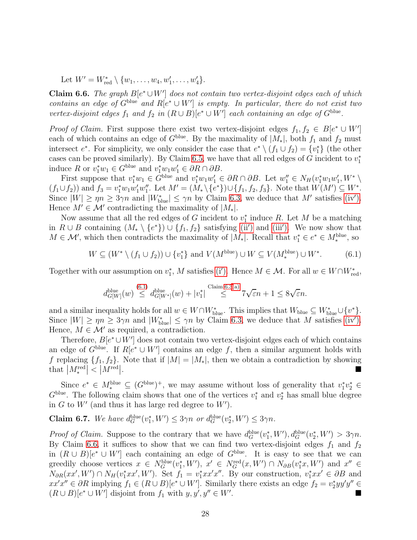<span id="page-27-0"></span>Let  $W' = W_{\text{red}}^* \setminus \{w_1, \ldots, w_4, w_1', \ldots, w_4'\}.$ 

**Claim 6.6.** *The graph*  $B[e^* \cup W']$  *does not contain two vertex-disjoint edges each of which contains an edge of*  $G^{\text{blue}}$  *and*  $R[e^* \cup W']$  *is empty. In particular, there do not exist two vertex-disjoint edges*  $f_1$  *and*  $f_2$  *in*  $(R \cup B)[e^* \cup W']$  *each containing an edge of*  $G^{\text{blue}}$ *.* 

*Proof of Claim.* First suppose there exist two vertex-disjoint edges  $f_1, f_2 \in B[e^* \cup W']$ each of which contains an edge of  $G^{\text{blue}}$ . By the maximality of  $|M_*|$ , both  $f_1$  and  $f_2$  must intersect  $e^*$ . For simplicity, we only consider the case that  $e^* \setminus (f_1 \cup f_2) = \{v_1^*\}$  (the other cases can be proved similarly). By Claim [6.5,](#page-26-1) we have that all red edges of G incident to  $v_1^*$ induce R or  $v_1^*w_1 \in G^{\text{blue}}$  and  $v_1^*w_1w_1' \in \partial R \cap \partial B$ .

First suppose that  $v_1^*w_1 \in G^{\text{blue}}$  and  $v_1^*w_1w_1' \in \partial R \cap \partial B$ . Let  $w_1'' \in N_H(v_1^*w_1w_1', W^*)$  $(f_1 \cup f_2)$  and  $f_3 = v_1^* w_1 w_1' w_1''$ . Let  $M' = (M_* \setminus \{e^*\}) \cup \{f_1, f_2, f_3\}$ . Note that  $W(M') \subseteq W^*$ . Since  $|W| \ge \eta n \ge 3\gamma n$  and  $|W^*_{\text{blue}}| \le \gamma n$  by Claim [6.3,](#page-24-5) we deduce that M' satisfies [\(iv](#page-24-6)'). Hence  $M' \in \mathcal{M}'$  contradicting the maximality of  $|M_*|$ .

Now assume that all the red edges of G incident to  $v_1^*$  induce R. Let M be a matching in  $R \cup B$  containing  $(M_* \setminus \{e^*\}) \cup \{f_1, f_2\}$  satisfying [\(ii](#page-24-1)') and [\(iii](#page-24-2)'). We now show that  $M \in \mathcal{M}'$ , which then contradicts the maximality of  $|M_*|$ . Recall that  $v_1^* \in e^* \in M_*^{\text{blue}}$ , so

$$
W \subseteq (W^* \setminus (f_1 \cup f_2)) \cup \{v_1^*\} \text{ and } V(M^{\text{blue}}) \cup W \subseteq V(M^{\text{blue}}_*) \cup W^*.
$$
 (6.1)

Together with our assumption on  $v_1^*$ , M satisfies [\(i](#page-24-0)'). Hence  $M \in \mathcal{M}$ . For all  $w \in W \cap W_{\text{red}}^*$ ,

<span id="page-27-1"></span>
$$
d_{G[W]}^{\text{blue}}(w) \stackrel{(6.1)}{\leq} d_{G[W^*]}^{\text{blue}}(w) + |v_1^*| \stackrel{\text{Claim 6.3(a)}}{\leq} 7\sqrt{\varepsilon}n + 1 \leq 8\sqrt{\varepsilon}n.
$$

and a similar inequality holds for all  $w \in W \cap W_{\text{blue}}^*$ . This implies that  $W_{\text{blue}} \subseteq W_{\text{blue}}^* \cup \{v^*\}.$ Since  $|W| \ge \eta n \ge 3\gamma n$  and  $|W^*_{\text{blue}}| \le \gamma n$  by Claim [6.3,](#page-24-5) we deduce that M satisfies [\(iv](#page-24-6)'). Hence,  $M \in \mathcal{M}'$  as required, a contradiction.

Therefore,  $B[e^*\cup W']$  does not contain two vertex-disjoint edges each of which contains an edge of  $G^{\text{blue}}$ . If  $R[e^* \cup W']$  contains an edge f, then a similar argument holds with f replacing  $\{f_1, f_2\}$ . Note that if  $|M| = |M_*|$ , then we obtain a contradiction by showing that  $|M^{\text{red}}| < |M^{\text{red}}|$ . that  $M_*^{\text{red}}$  $\vert$  <  $\vert$   $M^{\rm red} \vert$ . In the second control of the second control of the second control of the second control of the second control of

Since  $e^* \in M_*^{\text{blue}} \subseteq (G^{\text{blue}})^+$ , we may assume without loss of generality that  $v_1^* v_2^* \in$  $G^{\text{blue}}$ . The following claim shows that one of the vertices  $v_1^*$  and  $v_2^*$  has small blue degree in  $G$  to  $W'$  (and thus it has large red degree to  $W'$ ).

**Claim 6.7.** We have  $d_G^{\text{blue}}(v_1^*, W') \leq 3\gamma n$  or  $d_G^{\text{blue}}(v_2^*, W') \leq 3\gamma n$ .

*Proof of Claim.* Suppose to the contrary that we have  $d_G^{\text{blue}}(v_1^*, W')$ ,  $d_G^{\text{blue}}(v_2^*, W') > 3\gamma n$ . By Claim [6.6,](#page-27-0) it suffices to show that we can find two vertex-disjoint edges  $f_1$  and  $f_2$ in  $(R \cup B)[e^* \cup W']$  each containing an edge of  $G^{\text{blue}}$ . It is easy to see that we can greedily choose vertices  $x \in N_G^{\text{blue}}(v_1^*, W')$ ,  $x' \in N_G^{\text{red}}(x, W') \cap N_{\partial B}(v_1^* x, W')$  and  $x'' \in$  $N_{\partial R}(xx',W') \cap N_H(v_1^*xx',W')$ . Set  $f_1 = v_1^*xx'x''$ . By our construction,  $v_1^*xx' \in \partial B$  and  $xx'x'' \in \partial R$  implying  $f_1 \in (R \cup B)[e^* \cup W']$ . Similarly there exists an edge  $f_2 = v_2^*yy'y'' \in$  $(R\cup B)[e^*\cup W']$  disjoint from  $f_1$  with  $y, y', y''\in W'$ .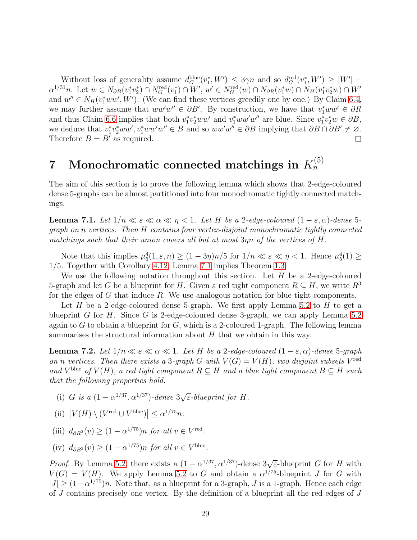Without loss of generality assume  $d_G^{\text{blue}}(v_1^*, W') \leq 3\gamma n$  and so  $d_G^{\text{red}}(v_1^*, W') \geq |W'| \alpha^{1/31}n$ . Let  $w \in N_{\partial B}(v_1^*v_2^*) \cap N_G^{\text{red}}(v_1^*) \cap W'$ ,  $w' \in N_G^{\text{red}}(w) \cap N_{\partial R}(v_1^*w) \cap N_H(v_1^*v_2^*w) \cap W'$ and  $w'' \in N_H(v_1^*ww', W')$ . (We can find these vertices greedily one by one.) By Claim [6.4,](#page-25-1) we may further assume that  $ww'' \in \partial B'$ . By construction, we have that  $v_1^*ww' \in \partial R$ and thus Claim [6.6](#page-27-0) implies that both  $v_1^* v_2^* w w'$  and  $v_1^* w w' w''$  are blue. Since  $v_1^* v_2^* w \in \partial B$ , we deduce that  $v_1^* v_2^* w w'$ ,  $v_1^* w w' w'' \in B$  and so  $ww' w'' \in \partial B$  implying that  $\partial B \cap \partial B' \neq \emptyset$ . Therefore  $B = B'$  as required.

### <span id="page-28-0"></span> $7$  Monochromatic connected matchings in  $K_n^{(5)}$  $\dot{n}$

The aim of this section is to prove the following lemma which shows that 2-edge-coloured dense 5-graphs can be almost partitioned into four monochromatic tightly connected matchings.

<span id="page-28-1"></span>**Lemma 7.1.** Let  $1/n \ll \varepsilon \ll \alpha \ll \eta \ll 1$ . Let H be a 2-edge-coloured  $(1 - \varepsilon, \alpha)$ -dense 5*graph on* n *vertices. Then* H *contains four vertex-disjoint monochromatic tightly connected matchings such that their union covers all but at most* 3ηn *of the vertices of* H*.*

Note that this implies  $\mu_5^4(1,\varepsilon,n) \ge (1-3\eta)n/5$  for  $1/n \ll \varepsilon \ll \eta < 1$ . Hence  $\mu_5^4(1) \ge$ 1/5. Together with Corollary [4.12,](#page-14-0) Lemma [7.1](#page-28-1) implies Theorem [1.3.](#page-1-1)

We use the following notation throughout this section. Let  $H$  be a 2-edge-coloured 5-graph and let G be a blueprint for H. Given a red tight component  $R \subseteq H$ , we write  $R^3$ for the edges of  $G$  that induce  $R$ . We use analogous notation for blue tight components.

Let H be a 2-edge-coloured dense 5-graph. We first apply Lemma [5.2](#page-16-1) to H to get a blueprint G for H. Since G is 2-edge-coloured dense 3-graph, we can apply Lemma [5.2](#page-16-1) again to G to obtain a blueprint for G, which is a 2-coloured 1-graph. The following lemma summarises the structural information about  $H$  that we obtain in this way.

<span id="page-28-2"></span>**Lemma 7.2.** Let  $1/n \ll \epsilon \ll \alpha \ll 1$ . Let H be a 2-edge-coloured  $(1 - \epsilon, \alpha)$ -dense 5-graph *on n vertices.* Then there exists a 3-graph G with  $V(G) = V(H)$ , two disjoint subsets  $V^{\text{red}}$ and  $V^{\text{blue}}$  of  $V(H)$ , a red tight component  $R \subseteq H$  and a blue tight component  $B \subseteq H$  such *that the following properties hold.*

(i) G is a  $(1 - \alpha^{1/37}, \alpha^{1/37})$ *-dense*  $3\sqrt{\varepsilon}$ *-blueprint for* H.

(ii) 
$$
|V(H) \setminus (V^{\text{red}} \cup V^{\text{blue}})| \leq \alpha^{1/75} n
$$
.

- (iii)  $d_{\partial R^3}(v) \ge (1 \alpha^{1/75}) n$  *for all*  $v \in V^{\text{red}}$ .
- (iv)  $d_{\partial B^3}(v) \ge (1 \alpha^{1/75})n$  *for all*  $v \in V^{\text{blue}}$ .

*Proof.* By Lemma [5.2,](#page-16-1) there exists a  $(1 - \alpha^{1/37}, \alpha^{1/37})$ -dense  $3\sqrt{\epsilon}$ -blueprint G for H with  $V(G) = V(H)$ . We apply Lemma [5.2](#page-16-1) to G and obtain a  $\alpha^{1/75}$ -blueprint J for G with  $|J| \geq (1 - \alpha^{1/75})n$ . Note that, as a blueprint for a 3-graph, J is a 1-graph. Hence each edge of  $J$  contains precisely one vertex. By the definition of a blueprint all the red edges of  $J$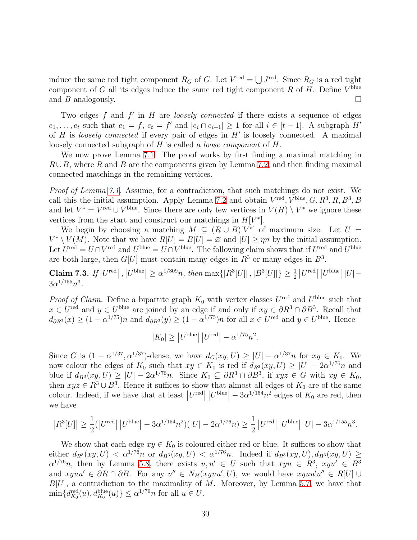induce the same red tight component  $R_G$  of G. Let  $V^{\text{red}} = \bigcup J^{\text{red}}$ . Since  $R_G$  is a red tight component of G all its edges induce the same red tight component R of H. Define  $V^{\text{blue}}$ and B analogously.  $\Box$ 

Two edges f and f' in H are *loosely connected* if there exists a sequence of edges  $e_1, \ldots, e_t$  such that  $e_1 = f, e_t = f'$  and  $|e_i \cap e_{i+1}| \geq 1$  for all  $i \in [t-1]$ . A subgraph  $H'$ of H is *loosely connected* if every pair of edges in H′ is loosely connected. A maximal loosely connected subgraph of H is called a *loose component* of H.

We now prove Lemma [7.1.](#page-28-1) The proof works by first finding a maximal matching in  $R\cup B$ , where R and B are the components given by Lemma [7.2,](#page-28-2) and then finding maximal connected matchings in the remaining vertices.

*Proof of Lemma [7.1.](#page-28-1)* Assume, for a contradiction, that such matchings do not exist. We call this the initial assumption. Apply Lemma [7.2](#page-28-2) and obtain  $V^{\text{red}}, V^{\text{blue}}, G, R^3, R, B^3, B$ and let  $V^* = V^{\text{red}} \cup V^{\text{blue}}$ . Since there are only few vertices in  $V(H) \setminus V^*$  we ignore these vertices from the start and construct our matchings in  $H[V^*].$ 

We begin by choosing a matching  $M \subseteq (R \cup B)[V^*]$  of maximum size. Let  $U =$  $V^* \setminus V(M)$ . Note that we have  $R[U] = B[U] = \emptyset$  and  $|U| \ge \eta n$  by the initial assumption. Let  $U^{\text{red}} = U \cap V^{\text{red}}$  and  $U^{\text{blue}} = U \cap V^{\text{blue}}$ . The following claim shows that if  $U^{\text{red}}$  and  $U^{\text{blue}}$ are both large, then  $G[U]$  must contain many edges in  $R^3$  or many edges in  $B^3$ .

<span id="page-29-0"></span>Claim 7.3. If  $|U^{\text{red}}|$ ,  $|U^{\text{blue}}| \geq \alpha^{1/309}n$ , then  $\max\{|R^3[U]|\$ ,  $|B^3[U]|\} \geq \frac{1}{2}|U^{\text{red}}|$   $|U^{\text{blue}}|$   $|U|$  –  $3\alpha^{1/155}n^3$ .

*Proof of Claim.* Define a bipartite graph  $K_0$  with vertex classes  $U^{\text{red}}$  and  $U^{\text{blue}}$  such that  $x \in U^{\text{red}}$  and  $y \in U^{\text{blue}}$  are joined by an edge if and only if  $xy \in \partial R^3 \cap \partial B^3$ . Recall that  $d_{\partial R^{3}}(x) \geq (1 - \alpha^{1/75})n$  and  $d_{\partial B^{3}}(y) \geq (1 - \alpha^{1/75})n$  for all  $x \in U^{\text{red}}$  and  $y \in U^{\text{blue}}$ . Hence

$$
|K_0| \ge |U^{\text{blue}}| \, |U^{\text{red}}| - \alpha^{1/75} n^2.
$$

Since G is  $(1 - \alpha^{1/37}, \alpha^{1/37})$ -dense, we have  $d_G(xy, U) \geq |U| - \alpha^{1/37} n$  for  $xy \in K_0$ . We now colour the edges of  $K_0$  such that  $xy \in K_0$  is red if  $d_{R_0^3}(xy, U) \geq |U| - 2\alpha^{1/76}n$  and blue if  $d_{B^3}(xy, U) \ge |U| - 2\alpha^{1/76}n$ . Since  $K_0 \subseteq \partial R^3 \cap \partial B^3$ , if  $xyz \in G$  with  $xy \in K_0$ , then  $xyz \in \mathbb{R}^3 \cup \mathbb{B}^3$ . Hence it suffices to show that almost all edges of  $K_0$  are of the same colour. Indeed, if we have that at least  $|U^{\text{red}}| |U^{\text{blue}}| - 3\alpha^{1/154} n^2$  edges of  $K_0$  are red, then we have

$$
|R^3[U]| \ge \frac{1}{2} (|U^{\text{red}}| \, |U^{\text{blue}}| - 3\alpha^{1/154} n^2) (|U| - 2\alpha^{1/76} n) \ge \frac{1}{2} |U^{\text{red}}| \, |U^{\text{blue}}| \, |U| - 3\alpha^{1/155} n^3.
$$

We show that each edge  $xy \in K_0$  is coloured either red or blue. It suffices to show that either  $d_{R^3}(xy, U) < \alpha^{1/76}n$  or  $d_{B^3}(xy, U) < \alpha^{1/76}n$ . Indeed if  $d_{R^3}(xy, U), d_{B^3}(xy, U) \ge$  $\alpha^{1/76}n$ , then by Lemma [5.8,](#page-20-0) there exists  $u, u' \in U$  such that  $xyu \in R^3$ ,  $xyu' \in B^3$ and  $xyuu' \in \partial R \cap \partial B$ . For any  $u'' \in N_H(xyuu', U)$ , we would have  $xyuu'u'' \in R[U] \cup$  $B[U]$ , a contradiction to the maximality of M. Moreover, by Lemma [5.7,](#page-19-0) we have that  $\min\{d_{K_0}^{\text{red}}(u), d_{K_0}^{\text{blue}}(u)\}\leq \alpha^{1/76}n$  for all  $u\in U$ .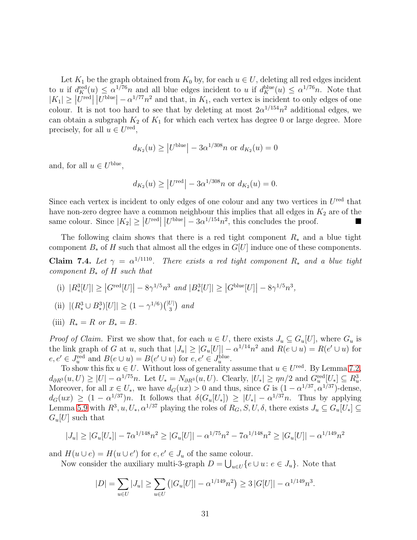Let  $K_1$  be the graph obtained from  $K_0$  by, for each  $u \in U$ , deleting all red edges incident to u if  $d_K^{\text{red}}(u) \leq \alpha^{1/76}n$  and all blue edges incident to u if  $d_K^{\text{blue}}(u) \leq \alpha^{1/76}n$ . Note that  $|K_1| \geq |\overline{U}^{\text{red}}| |\overline{U}^{\text{blue}}| - \alpha^{1/77} n^2$  and that, in  $K_1$ , each vertex is incident to only edges of one colour. It is not too hard to see that by deleting at most  $2\alpha^{1/154}n^2$  additional edges, we can obtain a subgraph  $K_2$  of  $K_1$  for which each vertex has degree 0 or large degree. More precisely, for all  $u \in U^{\text{red}}$ ,

$$
d_{K_2}(u) \ge |U^{\text{blue}}| - 3\alpha^{1/308}n
$$
 or  $d_{K_2}(u) = 0$ 

and, for all  $u \in U^{\text{blue}}$ ,

$$
d_{K_2}(u) \ge |U^{\text{red}}| - 3\alpha^{1/308}n
$$
 or  $d_{K_2}(u) = 0$ .

Since each vertex is incident to only edges of one colour and any two vertices in  $U^{\text{red}}$  that have non-zero degree have a common neighbour this implies that all edges in  $K_2$  are of the same colour. Since  $|K_2| \geq |U^{\text{red}}| |U^{\text{blue}}| - 3\alpha^{1/154} n^2$ , this concludes the proof.

<span id="page-30-3"></span>The following claim shows that there is a red tight component  $R_*$  and a blue tight component  $B_*$  of H such that almost all the edges in  $G[U]$  induce one of these components.

<span id="page-30-0"></span>**Claim 7.4.** Let  $\gamma = \alpha^{1/1110}$ . There exists a red tight component  $R_*$  and a blue tight *component* B<sup>∗</sup> *of* H *such that*

- <span id="page-30-1"></span>(i)  $|R_*^3[U]| \geq |G^{\text{red}}[U]| - 8\gamma^{1/5}n^3 \text{ and } |B_*^3[U]| \geq |G^{\text{blue}}[U]| - 8\gamma^{1/5}n^3,$
- <span id="page-30-2"></span>(ii)  $|(R_*^3 \cup B_*^3)[U]| \ge (1 - \gamma^{1/6}) {(|U| \choose 3} \text{ and }$
- (iii)  $R_* = R$  *or*  $B_* = B$ .

*Proof of Claim.* First we show that, for each  $u \in U$ , there exists  $J_u \subseteq G_u[U]$ , where  $G_u$  is the link graph of G at u, such that  $|J_u| \geq |G_u[U]| - \alpha^{1/14} n^2$  and  $R(e \cup u) = R(e' \cup u)$  for  $e, e' \in J_u^{\text{red}}$  and  $B(e \cup u) = B(e' \cup u)$  for  $e, e' \in J_u^{\text{blue}}$ .

To show this fix  $u \in U$ . Without loss of generality assume that  $u \in U^{\text{red}}$ . By Lemma [7.2,](#page-28-2)  $d_{\partial R^3}(u,U) \geq |U| - \alpha^{1/75}n$ . Let  $U_* = N_{\partial R^3}(u,U)$ . Clearly,  $|U_*| \geq \eta n/2$  and  $G_t^{\text{red}}[U_*] \subseteq R_u^3$ . Moreover, for all  $x \in U_*$ , we have  $d_G(ux) > 0$  and thus, since G is  $(1 - \alpha^{1/37}, \alpha^{1/37})$ -dense,  $d_G(ux) \geq (1 - \alpha^{1/37})n$ . It follows that  $\delta(G_u[U_*]) \geq |U_*| - \alpha^{1/37}n$ . Thus by applying Lemma [5.9](#page-21-0) with  $R^3, u, U_*, \alpha^{1/37}$  playing the roles of  $R_G, S, U, \delta$ , there exists  $J_u \subseteq G_u[U_*] \subseteq$  $G_u[U]$  such that

$$
|J_u| \ge |G_u[U_*]| - 7\alpha^{1/148}n^2 \ge |G_u[U]| - \alpha^{1/75}n^2 - 7\alpha^{1/148}n^2 \ge |G_u[U]| - \alpha^{1/149}n^2
$$

and  $H(u \cup e) = H(u \cup e')$  for  $e, e' \in J_u$  of the same colour.

Now consider the auxiliary multi-3-graph  $D = \bigcup_{u \in U} \{e \cup u : e \in J_u\}$ . Note that

$$
|D| = \sum_{u \in U} |J_u| \ge \sum_{u \in U} (|G_u[U]| - \alpha^{1/149} n^2) \ge 3 |G[U]| - \alpha^{1/149} n^3.
$$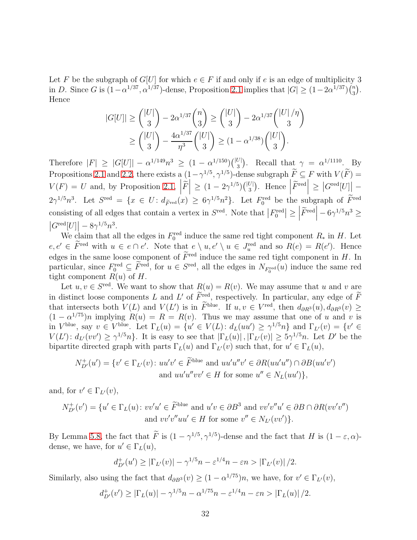Let F be the subgraph of  $G[U]$  for which  $e \in F$  if and only if e is an edge of multiplicity 3 in D. Since G is  $(1-\alpha^{1/37}, \alpha^{1/37})$ -dense, Proposition [2.1](#page-3-0) implies that  $|G| \ge (1-2\alpha^{1/37})(\frac{n}{3})$  $\binom{n}{3}$ . Hence

$$
|G[U]| \geq {\binom{|U|}{3}} - 2\alpha^{1/37} {\binom{n}{3}} \geq {\binom{|U|}{3}} - 2\alpha^{1/37} {\binom{|U|}{3}}^{\eta}
$$

$$
\geq {\binom{|U|}{3}} - \frac{4\alpha^{1/37}}{\eta^3} {\binom{|U|}{3}} \geq (1 - \alpha^{1/38}) {\binom{|U|}{3}}.
$$

Therefore  $|F| \geq |G[U]| - \alpha^{1/149} n^3 \geq (1 - \alpha^{1/150}) { |U| \choose 3}.$  Recall that  $\gamma = \alpha^{1/1110} \sum_{\alpha=1}^{\infty} B_{\alpha}$ 3 Propositions [2.1](#page-3-0) and [2.2,](#page-4-1) there exists a  $(1-\gamma^{1/5}, \gamma^{1/5})$ -dense subgraph  $\overline{F} \subseteq F$  with  $V(\overline{F}) =$  $V(F) = U$  and, by Proposition [2.1,](#page-3-0)  $\left| \tilde{F} \right| \geq (1 - 2\gamma^{1/5}) { |U| \choose 3}$ . Hence  $\left| \tilde{F}^{\text{red}} \right| \geq \left| G^{\text{red}}[U] \right|$  - $2\gamma^{1/5}n^3$ . Let  $S^{\text{red}} = \{x \in U : d_{\widetilde{F}^{\text{red}}}(x) \geq 6\gamma^{1/5}n^2\}$ . Let  $F_0^{\text{red}}$  be the subgraph of  $\widetilde{F}^{\text{red}}$ consisting of all edges that contain a vertex in  $S^{\text{red}}$ . Note that  $|F_0^{\text{red}}| \ge$  $\left|\widetilde{F}^{\rm red}\right|-6\gamma^{1/5}n^3$   $\geq$  $|G^{\text{red}}[U]| - 8\gamma^{1/5} n^3.$ 

We claim that all the edges in  $F_0^{\text{red}}$  induce the same red tight component  $R_*$  in H. Let  $e, e' \in \overline{F}^{\text{red}}$  with  $u \in e \cap e'$ . Note that  $e \setminus u, e' \setminus u \in J_u^{\text{red}}$  and so  $R(e) = R(e')$ . Hence edges in the same loose component of  $\widetilde{F}^{\text{red}}$  induce the same red tight component in H. In particular, since  $F_0^{\text{red}} \subseteq \overline{F}^{\text{red}}$ , for  $u \in S^{\text{red}}$ , all the edges in  $N_{F_0^{\text{red}}}(u)$  induce the same red tight component  $R(u)$  of H.

Let  $u, v \in S^{\text{red}}$ . We want to show that  $R(u) = R(v)$ . We may assume that u and v are in distinct loose components L and L' of  $\overline{F}_{\infty}^{\text{red}}$ , respectively. In particular, any edge of  $\overline{F}$ that intersects both  $V(L)$  and  $V(L')$  is in F<sup>blue</sup>. If  $u, v \in V^{\text{red}}$ , then  $d_{\partial R_3}(u), d_{\partial R_3}(v) \ge$  $(1 - \alpha^{1/75})n$  implying  $R(u) = R = R(v)$ . Thus we may assume that one of u and v is in  $V^{\text{blue}}$ , say  $v \in V^{\text{blue}}$ . Let  $\Gamma_L(u) = \{u' \in V(L) : d_L(uu') \geq \gamma^{1/5}n\}$  and  $\Gamma_{L'}(v) = \{v' \in L\}$  $V(L')$ :  $d_{L'}(vv') \geq \gamma^{1/5}n$ . It is easy to see that  $|\Gamma_L(u)|, |\Gamma_{L'}(v)| \geq 5\gamma^{1/5}n$ . Let D' be the bipartite directed graph with parts  $\Gamma_L(u)$  and  $\Gamma_{L'}(v)$  such that, for  $u' \in \Gamma_L(u)$ ,

$$
N_{D'}^+(u') = \{v' \in \Gamma_{L'}(v) \colon uu'v' \in \widetilde{F}^{\text{blue}} \text{ and } uu'u''v' \in \partial R(uu'u'') \cap \partial B(uu'v')
$$
  
and  $uu'u''vv' \in H \text{ for some } u'' \in N_L(uu')\},$ 

and, for  $v' \in \Gamma_{L'}(v)$ ,

$$
N_{D'}^+(v') = \{u' \in \Gamma_L(u) \colon vv'u' \in \widetilde{F}^{\text{blue}} \text{ and } u'v \in \partial B^3 \text{ and } vv'v''u' \in \partial B \cap \partial R(vv'v'')
$$
  
and  $vv'v''uu' \in H \text{ for some } v'' \in N_{L'}(vv')\}.$ 

By Lemma [5.8,](#page-20-0) the fact that  $\tilde{F}$  is  $(1 - \gamma^{1/5}, \gamma^{1/5})$ -dense and the fact that H is  $(1 - \varepsilon, \alpha)$ dense, we have, for  $u' \in \Gamma_L(u)$ ,

$$
d_{D'}^+(u') \geq |\Gamma_{L'}(v)| - \gamma^{1/5}n - \varepsilon^{1/4}n - \varepsilon n > |\Gamma_{L'}(v)|/2.
$$

Similarly, also using the fact that  $d_{\partial B^3}(v) \ge (1 - \alpha^{1/75})n$ , we have, for  $v' \in \Gamma_{L'}(v)$ ,

$$
d_{D'}^+(v') \geq |\Gamma_L(u)| - \gamma^{1/5}n - \alpha^{1/75}n - \varepsilon^{1/4}n - \varepsilon n > |\Gamma_L(u)|/2.
$$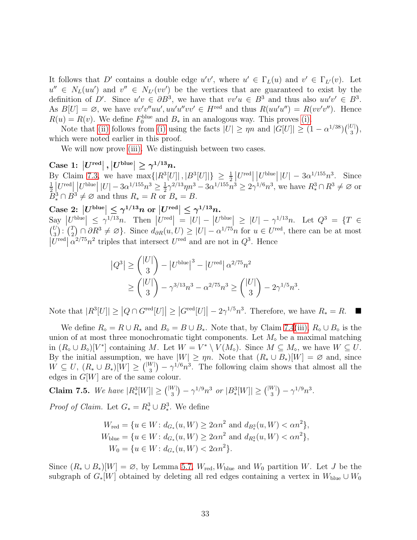It follows that D' contains a double edge  $u'v'$ , where  $u' \in \Gamma_L(u)$  and  $v' \in \Gamma_{L'}(v)$ . Let  $u'' \in N_L(uu')$  and  $v'' \in N_{L'}(vv')$  be the vertices that are guaranteed to exist by the definition of D'. Since  $u'v \in \partial B^3$ , we have that  $vv'u \in B^3$  and thus also  $uu'v' \in B^3$ . As  $B[U] = \emptyset$ , we have  $vv'v''uu', uu'u''vv' \in H^{\text{red}}$  and thus  $R(uu'u'') = R(vv'v'')$ . Hence  $R(u) = R(v)$ . We define  $F_0^{\text{blue}}$  and  $B_*$  in an analogous way. This proves [\(i\).](#page-30-0)

Note that [\(ii\)](#page-30-1) follows from [\(i\)](#page-30-0) using the facts  $|U| \ge \eta n$  and  $|G[U]| \ge (1 - \alpha^{1/38}) { |U| \choose 3},$ which were noted earlier in this proof.

We will now prove [\(iii\).](#page-30-2) We distinguish between two cases.

 $\text{Case 1: } \left|U^{\text{red}}\right|, \left|U^{\text{blue}}\right| \geq \gamma^{1/13}n.$ 

By Claim [7.3,](#page-29-0) we have  $\max\{|R^3[U]|\,|\,|B^3[U]|\} \geq \frac{1}{2} |U^{\text{red}}| \,|U^{\text{blue}}| \,|U| - 3\alpha^{1/155} n^3$ . Since 1  $\frac{1}{2}$  $\left| U^{\text{red}} \right| \left| U^{\text{blue}} \right| |U| - 3 \alpha^{1/155} n^3 \ge \frac{1}{2}$  $\frac{1}{2}\gamma^{2/13}\eta n^3 - 3\alpha^{1/155}n^3 \geq 2\gamma^{1/6}n^3$ , we have  $R_*^3 \cap R^3 \neq \emptyset$  or  $\bar{B}_*^3 \cap B^3 \neq \emptyset$  and thus  $R_* = R$  or  $B_* = B$ .

 $\text{Case 2: } |U^{\text{blue}}| \leq \gamma^{1/13} n \text{ or } |U^{\text{red}}| \leq \gamma^{1/13} n.$  $\text{Say } |U^{\text{blue}}| \leq \gamma^{1/13}n$ . Then  $|U^{\text{red}}| = |U| - |U^{\text{blue}}| \geq |U| - \gamma^{1/13}n$ . Let  $Q^3 = \{T \in \mathbb{R}^3 : |U| \leq \gamma^{1/13}$  $\binom{U}{0}$  $\binom{U}{3}$  :  $\binom{T}{2}$  $\mathbb{Z}_2^T$   $\cap$   $\partial R^3 \neq \varnothing$ . Since  $d_{\partial R}(u, U) \geq |U| - \alpha^{1/75} n$  for  $u \in U^{\text{red}}$ , there can be at most  $|U^{\text{red}}| \alpha^{2/75} n^2$  triples that intersect  $U^{\text{red}}$  and are not in  $Q^3$ . Hence

$$
|Q^3| \ge \binom{|U|}{3} - |U^{\text{blue}}|^3 - |U^{\text{red}}| \alpha^{2/75} n^2
$$
  
 
$$
\ge \binom{|U|}{3} - \gamma^{3/13} n^3 - \alpha^{2/75} n^3 \ge \binom{|U|}{3} - 2\gamma^{1/5} n^3.
$$

Note that  $|R^3[U]| \geq |Q \cap G^{\text{red}}[U]| \geq |G^{\text{red}}[U]| - 2\gamma^{1/5}n^3$ . Therefore, we have  $R_* = R$ .

We define  $R_{\diamond} = R \cup R_{\ast}$  and  $B_{\diamond} = B \cup B_{\ast}$ . Note that, by Claim [7.4](#page-30-3)[\(iii\),](#page-30-2)  $R_{\diamond} \cup B_{\diamond}$  is the union of at most three monochromatic tight components. Let  $M_{\circ}$  be a maximal matching in  $(R_\diamond \cup B_\diamond)[V^*]$  containing M. Let  $W = V^* \setminus V(M_\diamond)$ . Since  $M \subseteq M_\diamond$ , we have  $W \subseteq U$ . By the initial assumption, we have  $|W| \ge \eta n$ . Note that  $(R_* \cup B_*)[W] = \emptyset$  and, since  $W \subseteq U, (R_* \cup B_*)[W] \geq {\binom{|W|}{3}} - {\gamma}^{1/6}n^3$ . The following claim shows that almost all the edges in  $G[W]$  are of the same colour.

Claim 7.5. *We have*  $|R_*^3[W]| \geq {\binom{|W|}{3}} - {\gamma^{1/9}n^3}$  *or*  $|B_*^3[W]| \geq {\binom{|W|}{3}} - {\gamma^{1/9}n^3}$ .

*Proof of Claim.* Let  $G_* = R_*^3 \cup B_*^3$ . We define

$$
W_{\text{red}} = \{ u \in W : d_{G_*}(u, W) \ge 2\alpha n^2 \text{ and } d_{B_*^3}(u, W) < \alpha n^2 \},
$$
\n
$$
W_{\text{blue}} = \{ u \in W : d_{G_*}(u, W) \ge 2\alpha n^2 \text{ and } d_{R_*^3}(u, W) < \alpha n^2 \},
$$
\n
$$
W_0 = \{ u \in W : d_{G_*}(u, W) < 2\alpha n^2 \}.
$$

Since  $(R_* \cup B_*)[W] = \emptyset$ , by Lemma [5.7,](#page-19-0)  $W_{\text{red}}$ ,  $W_{\text{blue}}$  and  $W_0$  partition W. Let J be the subgraph of  $G_*[W]$  obtained by deleting all red edges containing a vertex in  $W_{blue} \cup W_0$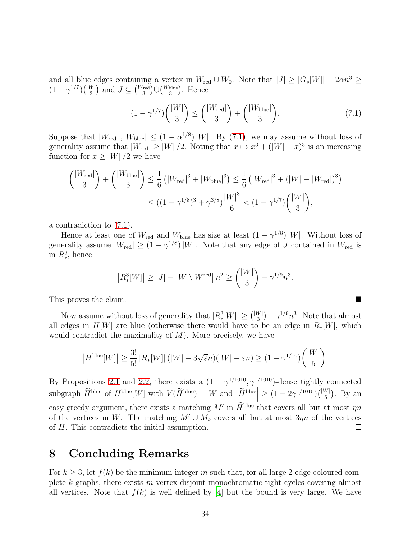and all blue edges containing a vertex in  $W_{\text{red}} \cup W_0$ . Note that  $|J| \geq |G_*[W]| - 2\alpha n^3 \geq$  $(1 - \gamma^{1/7})\binom{|W|}{3}$  and  $J \subseteq \binom{W_{\text{red}}}{3} \cup \binom{W_{\text{blue}}}{3}$ . Hence

<span id="page-33-1"></span>
$$
(1 - \gamma^{1/7}) \binom{|W|}{3} \le \binom{|W_{\text{red}}|}{3} + \binom{|W_{\text{blue}}|}{3}.
$$
\n(7.1)

Suppose that  $|W_{\text{red}}|$ ,  $|W_{\text{blue}}| \leq (1 - \alpha^{1/8}) |W|$ . By [\(7.1\)](#page-33-1), we may assume without loss of generality assume that  $|W_{\text{red}}| \ge |W|/2$ . Noting that  $x \mapsto x^3 + (|W| - x)^3$  is an increasing function for  $x \geq |W|/2$  we have

$$
{|W_{\text{red}}| \choose 3} + {|W_{\text{blue}}| \choose 3} \le \frac{1}{6} (|W_{\text{red}}|^3 + |W_{\text{blue}}|^3) \le \frac{1}{6} (|W_{\text{red}}|^3 + (|W| - |W_{\text{red}}|)^3)
$$
  

$$
\le ((1 - \gamma^{1/8})^3 + \gamma^{3/8}) \frac{|W|^3}{6} < (1 - \gamma^{1/7}) {|W| \choose 3},
$$

a contradiction to [\(7.1\)](#page-33-1).

Hence at least one of  $W_{\text{red}}$  and  $W_{\text{blue}}$  has size at least  $(1 - \gamma^{1/8}) |W|$ . Without loss of generality assume  $|W_{\text{red}}| \ge (1 - \gamma^{1/8}) |W|$ . Note that any edge of J contained in  $W_{\text{red}}$  is in  $R_*^3$ , hence

$$
|R_*^3[W]| \ge |J| - |W \setminus W^{\text{red}}| \, n^2 \ge \binom{|W|}{3} - \gamma^{1/9} n^3.
$$

This proves the claim.

Now assume without loss of generality that  $|R_*^3[W]| \geq {\binom{|W|}{3}} - {\gamma}^{1/9} n^3$ . Note that almost all edges in  $H[W]$  are blue (otherwise there would have to be an edge in  $R_*[W]$ , which would contradict the maximality of  $M$ ). More precisely, we have

$$
\left|H^{\text{blue}}[W]\right| \ge \frac{3!}{5!} \left|R_*[W]\right| (|W| - 3\sqrt{\varepsilon}n)(|W| - \varepsilon n) \ge (1 - \gamma^{1/10}) { |W| \choose 5}.
$$

By Propositions [2.1](#page-3-0) and [2.2,](#page-4-1) there exists a  $(1 - \gamma^{1/1010}, \gamma^{1/1010})$ -dense tightly connected subgraph  $\widetilde{H}^{\text{blue}}$  of  $H^{\text{blue}}[W]$  with  $V(\widetilde{H}^{\text{blue}}) = W$  and  $\left| \widetilde{H}^{\text{blue}} \right| \geq (1 - 2\gamma^{1/1010})\binom{|W|}{5}$ . By an easy greedy argument, there exists a matching  $M'$  in  $H^{\text{blue}}$  that covers all but at most  $\eta n$ of the vertices in W. The matching  $M' \cup M_{\diamond}$  covers all but at most  $3\eta n$  of the vertices of H. This contradicts the initial assumption. of H. This contradicts the initial assumption.

## <span id="page-33-0"></span>8 Concluding Remarks

For  $k \geq 3$ , let  $f(k)$  be the minimum integer m such that, for all large 2-edge-coloured complete  $k$ -graphs, there exists m vertex-disjoint monochromatic tight cycles covering almost all vertices. Note that  $f(k)$  is well defined by [\[4\]](#page-34-4) but the bound is very large. We have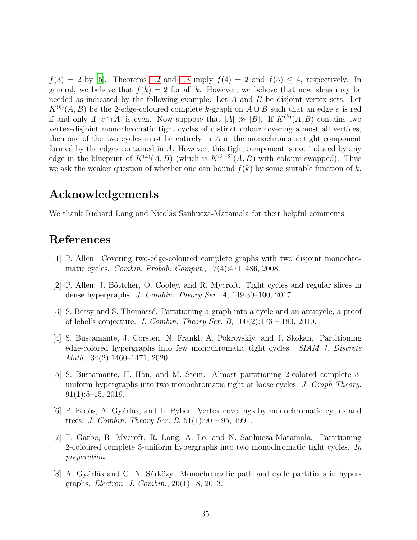$f(3) = 2$  by [\[5\]](#page-34-5). Theorems [1.2](#page-1-0) and [1.3](#page-1-1) imply  $f(4) = 2$  and  $f(5) \le 4$ , respectively. In general, we believe that  $f(k) = 2$  for all k. However, we believe that new ideas may be needed as indicated by the following example. Let  $A$  and  $B$  be disjoint vertex sets. Let  $K^{(k)}(A, B)$  be the 2-edge-coloured complete k-graph on  $A \cup B$  such that an edge e is red if and only if  $|e \cap A|$  is even. Now suppose that  $|A| \gg |B|$ . If  $K^{(k)}(A, B)$  contains two vertex-disjoint monochromatic tight cycles of distinct colour covering almost all vertices, then one of the two cycles must lie entirely in  $A$  in the monochromatic tight component formed by the edges contained in A. However, this tight component is not induced by any edge in the blueprint of  $K^{(k)}(A, B)$  (which is  $K^{(k-2)}(A, B)$  with colours swapped). Thus we ask the weaker question of whether one can bound  $f(k)$  by some suitable function of k.

## Acknowledgements

We thank Richard Lang and Nicolás Sanhueza-Matamala for their helpful comments.

# References

- <span id="page-34-0"></span>[1] P. Allen. Covering two-edge-coloured complete graphs with two disjoint monochromatic cycles. *Combin. Probab. Comput.*, 17(4):471–486, 2008.
- <span id="page-34-7"></span>[2] P. Allen, J. Böttcher, O. Cooley, and R. Mycroft. Tight cycles and regular slices in dense hypergraphs. *J. Combin. Theory Ser. A*, 149:30–100, 2017.
- <span id="page-34-1"></span>[3] S. Bessy and S. Thomass´e. Partitioning a graph into a cycle and an anticycle, a proof of lehel's conjecture. *J. Combin. Theory Ser. B*, 100(2):176 – 180, 2010.
- <span id="page-34-4"></span>[4] S. Bustamante, J. Corsten, N. Frankl, A. Pokrovskiy, and J. Skokan. Partitioning edge-colored hypergraphs into few monochromatic tight cycles. *SIAM J. Discrete Math.*, 34(2):1460–1471, 2020.
- <span id="page-34-5"></span>[5] S. Bustamante, H. Hàn, and M. Stein. Almost partitioning 2-colored complete 3uniform hypergraphs into two monochromatic tight or loose cycles. *J. Graph Theory*,  $91(1):5-15, 2019.$
- <span id="page-34-2"></span>[6] P. Erdős, A. Gyárfás, and L. Pyber. Vertex coverings by monochromatic cycles and trees. *J. Combin. Theory Ser. B*, 51(1):90 – 95, 1991.
- <span id="page-34-6"></span>[7] F. Garbe, R. Mycroft, R. Lang, A. Lo, and N. Sanhueza-Matamala. Partitioning 2-coloured complete 3-uniform hypergraphs into two monochromatic tight cycles. *In preparation*.
- <span id="page-34-3"></span>[8] A. Gyárfás and G. N. Sárközy. Monochromatic path and cycle partitions in hypergraphs. *Electron. J. Combin.*, 20(1):18, 2013.